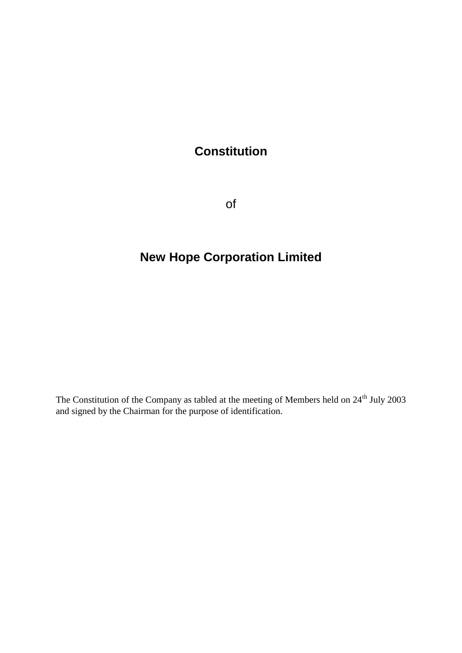# **Constitution**

of

# **New Hope Corporation Limited**

The Constitution of the Company as tabled at the meeting of Members held on 24<sup>th</sup> July 2003 and signed by the Chairman for the purpose of identification.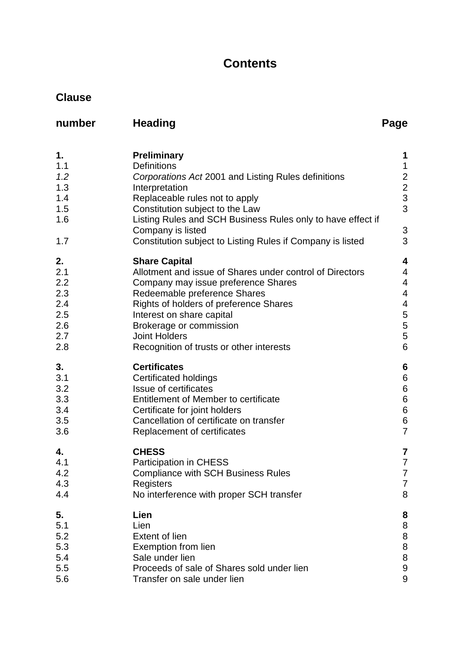# **Contents**

# **Clause**

| number                                                     | <b>Heading</b>                                                                                                                                                                                                                                                                                                                           | Page                                                                                                                                   |
|------------------------------------------------------------|------------------------------------------------------------------------------------------------------------------------------------------------------------------------------------------------------------------------------------------------------------------------------------------------------------------------------------------|----------------------------------------------------------------------------------------------------------------------------------------|
| 1.<br>1.1<br>1.2<br>1.3<br>1.4<br>1.5<br>1.6<br>1.7        | <b>Preliminary</b><br><b>Definitions</b><br>Corporations Act 2001 and Listing Rules definitions<br>Interpretation<br>Replaceable rules not to apply<br>Constitution subject to the Law<br>Listing Rules and SCH Business Rules only to have effect if<br>Company is listed<br>Constitution subject to Listing Rules if Company is listed | 1<br>$\mathbf 1$<br>$\begin{array}{c} 2 \\ 2 \\ 3 \end{array}$<br>3<br>3<br>3                                                          |
| 2.<br>2.1<br>2.2<br>2.3<br>2.4<br>2.5<br>2.6<br>2.7<br>2.8 | <b>Share Capital</b><br>Allotment and issue of Shares under control of Directors<br>Company may issue preference Shares<br>Redeemable preference Shares<br>Rights of holders of preference Shares<br>Interest on share capital<br>Brokerage or commission<br><b>Joint Holders</b><br>Recognition of trusts or other interests            | 4<br>$\overline{4}$<br>$\overline{4}$<br>$\overline{4}$<br>$\overline{\mathcal{A}}$<br>5<br>$\begin{array}{c} 5 \\ 5 \\ 6 \end{array}$ |
| 3.<br>3.1<br>3.2<br>3.3<br>3.4<br>3.5<br>3.6               | <b>Certificates</b><br><b>Certificated holdings</b><br><b>Issue of certificates</b><br><b>Entitlement of Member to certificate</b><br>Certificate for joint holders<br>Cancellation of certificate on transfer<br>Replacement of certificates                                                                                            | $6\phantom{1}6$<br>$\begin{array}{c} 6 \\ 6 \end{array}$<br>$\overline{6}$<br>6<br>6<br>7                                              |
| 4.<br>4.1<br>4.2<br>4.3<br>4.4                             | <b>CHESS</b><br><b>Participation in CHESS</b><br><b>Compliance with SCH Business Rules</b><br>Registers<br>No interference with proper SCH transfer                                                                                                                                                                                      | 7<br>$\overline{7}$<br>7<br>7<br>8                                                                                                     |
| 5.<br>5.1<br>5.2<br>5.3<br>5.4<br>5.5<br>5.6               | Lien<br>Lien<br><b>Extent of lien</b><br>Exemption from lien<br>Sale under lien<br>Proceeds of sale of Shares sold under lien<br>Transfer on sale under lien                                                                                                                                                                             | 8<br>8<br>$\begin{array}{c} 8 \\ 8 \end{array}$<br>8<br>9<br>9                                                                         |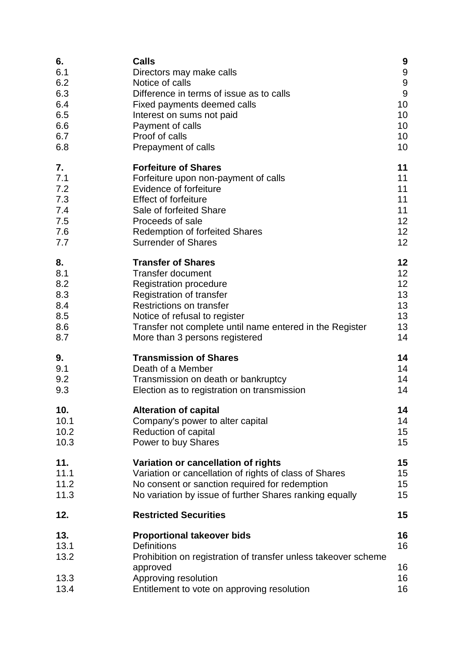| 6.                  | <b>Calls</b>                                                                                                              | 9                |
|---------------------|---------------------------------------------------------------------------------------------------------------------------|------------------|
| 6.1                 | Directors may make calls                                                                                                  | $\boldsymbol{9}$ |
| 6.2                 | Notice of calls                                                                                                           | $\boldsymbol{9}$ |
| 6.3                 | Difference in terms of issue as to calls                                                                                  | 9                |
| 6.4                 | Fixed payments deemed calls                                                                                               | 10               |
| 6.5                 | Interest on sums not paid                                                                                                 | 10               |
| 6.6                 | Payment of calls                                                                                                          | 10               |
| 6.7                 | Proof of calls                                                                                                            | 10               |
| 6.8                 | Prepayment of calls                                                                                                       | 10               |
| 7.                  | <b>Forfeiture of Shares</b>                                                                                               | 11               |
| 7.1                 | Forfeiture upon non-payment of calls                                                                                      | 11               |
| 7.2                 | Evidence of forfeiture                                                                                                    | 11               |
| 7.3                 | <b>Effect of forfeiture</b>                                                                                               | 11               |
| 7.4                 | Sale of forfeited Share                                                                                                   | 11               |
| 7.5                 | Proceeds of sale                                                                                                          | 12               |
| 7.6                 | <b>Redemption of forfeited Shares</b>                                                                                     | 12               |
| 7.7                 | <b>Surrender of Shares</b>                                                                                                | 12               |
| 8.                  | <b>Transfer of Shares</b>                                                                                                 | 12               |
| 8.1                 | <b>Transfer document</b>                                                                                                  | 12               |
| 8.2                 | <b>Registration procedure</b>                                                                                             | 12               |
| 8.3                 | Registration of transfer                                                                                                  | 13               |
| 8.4                 | <b>Restrictions on transfer</b>                                                                                           | 13               |
| 8.5                 | Notice of refusal to register                                                                                             | 13               |
| 8.6                 | Transfer not complete until name entered in the Register                                                                  | 13               |
| 8.7                 | More than 3 persons registered                                                                                            | 14               |
| 9.                  | <b>Transmission of Shares</b>                                                                                             | 14               |
| 9.1                 | Death of a Member                                                                                                         | 14               |
| 9.2                 | Transmission on death or bankruptcy                                                                                       | 14               |
| 9.3                 | Election as to registration on transmission                                                                               | 14               |
| 10.                 | <b>Alteration of capital</b>                                                                                              | 14               |
| 10.1                | Company's power to alter capital                                                                                          | 14               |
| 10.2                | Reduction of capital                                                                                                      | 15               |
| 10.3                | Power to buy Shares                                                                                                       | 15               |
| 11.                 | Variation or cancellation of rights                                                                                       | 15               |
| 11.1                | Variation or cancellation of rights of class of Shares                                                                    | 15               |
| 11.2                | No consent or sanction required for redemption                                                                            | 15               |
| 11.3                | No variation by issue of further Shares ranking equally                                                                   | 15               |
| 12.                 | <b>Restricted Securities</b>                                                                                              | 15               |
| 13.<br>13.1<br>13.2 | <b>Proportional takeover bids</b><br><b>Definitions</b><br>Prohibition on registration of transfer unless takeover scheme | 16<br>16         |
| 13.3<br>13.4        | approved<br>Approving resolution<br>Entitlement to vote on approving resolution                                           | 16<br>16<br>16   |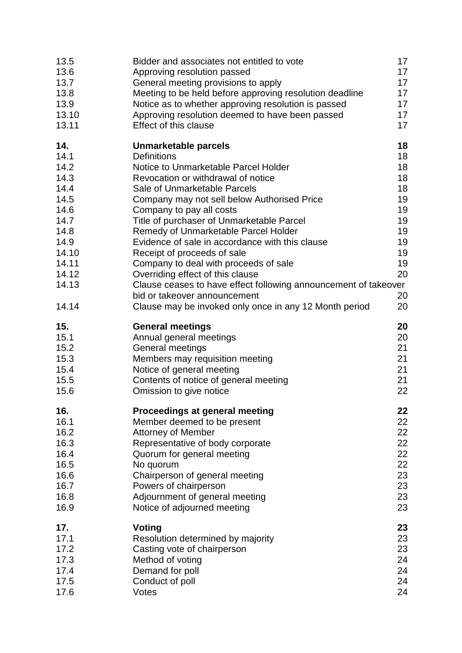| 13.5                                                                                                                     | Bidder and associates not entitled to vote                                                                                                                                                                                                                                                                                                                                                                                                                                                                                                                                                                                                           | 17                                                                                     |
|--------------------------------------------------------------------------------------------------------------------------|------------------------------------------------------------------------------------------------------------------------------------------------------------------------------------------------------------------------------------------------------------------------------------------------------------------------------------------------------------------------------------------------------------------------------------------------------------------------------------------------------------------------------------------------------------------------------------------------------------------------------------------------------|----------------------------------------------------------------------------------------|
| 13.6                                                                                                                     | Approving resolution passed                                                                                                                                                                                                                                                                                                                                                                                                                                                                                                                                                                                                                          | 17                                                                                     |
| 13.7                                                                                                                     | General meeting provisions to apply                                                                                                                                                                                                                                                                                                                                                                                                                                                                                                                                                                                                                  | 17                                                                                     |
| 13.8                                                                                                                     | Meeting to be held before approving resolution deadline                                                                                                                                                                                                                                                                                                                                                                                                                                                                                                                                                                                              | 17                                                                                     |
| 13.9                                                                                                                     | Notice as to whether approving resolution is passed                                                                                                                                                                                                                                                                                                                                                                                                                                                                                                                                                                                                  | 17                                                                                     |
| 13.10                                                                                                                    | Approving resolution deemed to have been passed                                                                                                                                                                                                                                                                                                                                                                                                                                                                                                                                                                                                      | 17                                                                                     |
| 13.11                                                                                                                    | <b>Effect of this clause</b>                                                                                                                                                                                                                                                                                                                                                                                                                                                                                                                                                                                                                         | 17                                                                                     |
| 14.<br>14.1<br>14.2<br>14.3<br>14.4<br>14.5<br>14.6<br>14.7<br>14.8<br>14.9<br>14.10<br>14.11<br>14.12<br>14.13<br>14.14 | Unmarketable parcels<br><b>Definitions</b><br>Notice to Unmarketable Parcel Holder<br>Revocation or withdrawal of notice<br>Sale of Unmarketable Parcels<br>Company may not sell below Authorised Price<br>Company to pay all costs<br>Title of purchaser of Unmarketable Parcel<br>Remedy of Unmarketable Parcel Holder<br>Evidence of sale in accordance with this clause<br>Receipt of proceeds of sale<br>Company to deal with proceeds of sale<br>Overriding effect of this clause<br>Clause ceases to have effect following announcement of takeover<br>bid or takeover announcement<br>Clause may be invoked only once in any 12 Month period | 18<br>18<br>18<br>18<br>18<br>19<br>19<br>19<br>19<br>19<br>19<br>19<br>20<br>20<br>20 |
| 15.                                                                                                                      | <b>General meetings</b>                                                                                                                                                                                                                                                                                                                                                                                                                                                                                                                                                                                                                              | 20                                                                                     |
| 15.1                                                                                                                     | Annual general meetings                                                                                                                                                                                                                                                                                                                                                                                                                                                                                                                                                                                                                              | 20                                                                                     |
| 15.2                                                                                                                     | General meetings                                                                                                                                                                                                                                                                                                                                                                                                                                                                                                                                                                                                                                     | 21                                                                                     |
| 15.3                                                                                                                     | Members may requisition meeting                                                                                                                                                                                                                                                                                                                                                                                                                                                                                                                                                                                                                      | 21                                                                                     |
| 15.4                                                                                                                     | Notice of general meeting                                                                                                                                                                                                                                                                                                                                                                                                                                                                                                                                                                                                                            | 21                                                                                     |
| 15.5                                                                                                                     | Contents of notice of general meeting                                                                                                                                                                                                                                                                                                                                                                                                                                                                                                                                                                                                                | 21                                                                                     |
| 15.6                                                                                                                     | Omission to give notice                                                                                                                                                                                                                                                                                                                                                                                                                                                                                                                                                                                                                              | 22                                                                                     |
| 16.                                                                                                                      | Proceedings at general meeting                                                                                                                                                                                                                                                                                                                                                                                                                                                                                                                                                                                                                       | 22                                                                                     |
| 16.1                                                                                                                     | Member deemed to be present                                                                                                                                                                                                                                                                                                                                                                                                                                                                                                                                                                                                                          | 22                                                                                     |
| 16.2                                                                                                                     | <b>Attorney of Member</b>                                                                                                                                                                                                                                                                                                                                                                                                                                                                                                                                                                                                                            | 22                                                                                     |
| 16.3                                                                                                                     | Representative of body corporate                                                                                                                                                                                                                                                                                                                                                                                                                                                                                                                                                                                                                     | 22                                                                                     |
| 16.4                                                                                                                     | Quorum for general meeting                                                                                                                                                                                                                                                                                                                                                                                                                                                                                                                                                                                                                           | 22                                                                                     |
| 16.5                                                                                                                     | No quorum                                                                                                                                                                                                                                                                                                                                                                                                                                                                                                                                                                                                                                            | 22                                                                                     |
| 16.6                                                                                                                     | Chairperson of general meeting                                                                                                                                                                                                                                                                                                                                                                                                                                                                                                                                                                                                                       | 23                                                                                     |
| 16.7                                                                                                                     | Powers of chairperson                                                                                                                                                                                                                                                                                                                                                                                                                                                                                                                                                                                                                                | 23                                                                                     |
| 16.8                                                                                                                     | Adjournment of general meeting                                                                                                                                                                                                                                                                                                                                                                                                                                                                                                                                                                                                                       | 23                                                                                     |
| 16.9                                                                                                                     | Notice of adjourned meeting                                                                                                                                                                                                                                                                                                                                                                                                                                                                                                                                                                                                                          | 23                                                                                     |
| 17.                                                                                                                      | <b>Voting</b>                                                                                                                                                                                                                                                                                                                                                                                                                                                                                                                                                                                                                                        | 23                                                                                     |
| 17.1                                                                                                                     | Resolution determined by majority                                                                                                                                                                                                                                                                                                                                                                                                                                                                                                                                                                                                                    | 23                                                                                     |
| 17.2                                                                                                                     | Casting vote of chairperson                                                                                                                                                                                                                                                                                                                                                                                                                                                                                                                                                                                                                          | 23                                                                                     |
| 17.3                                                                                                                     | Method of voting                                                                                                                                                                                                                                                                                                                                                                                                                                                                                                                                                                                                                                     | 24                                                                                     |
| 17.4                                                                                                                     | Demand for poll                                                                                                                                                                                                                                                                                                                                                                                                                                                                                                                                                                                                                                      | 24                                                                                     |
| 17.5                                                                                                                     | Conduct of poll                                                                                                                                                                                                                                                                                                                                                                                                                                                                                                                                                                                                                                      | 24                                                                                     |
| 17.6                                                                                                                     | Votes                                                                                                                                                                                                                                                                                                                                                                                                                                                                                                                                                                                                                                                | 24                                                                                     |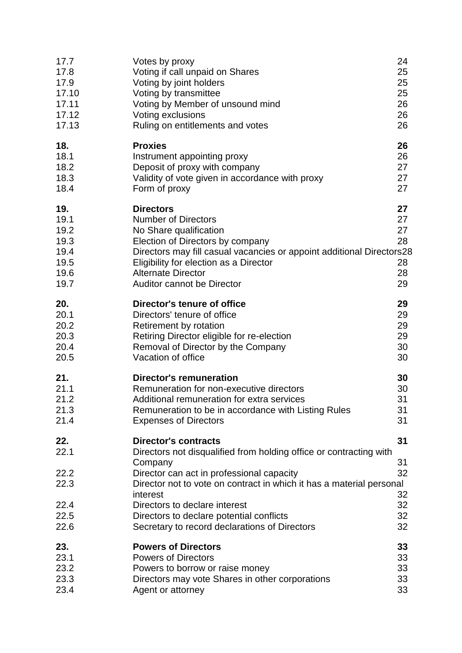| 17.7                                                        | Votes by proxy                                                                                                                                                                                                                                                                                                                                                              | 24                                     |
|-------------------------------------------------------------|-----------------------------------------------------------------------------------------------------------------------------------------------------------------------------------------------------------------------------------------------------------------------------------------------------------------------------------------------------------------------------|----------------------------------------|
| 17.8                                                        | Voting if call unpaid on Shares                                                                                                                                                                                                                                                                                                                                             | 25                                     |
| 17.9                                                        | Voting by joint holders                                                                                                                                                                                                                                                                                                                                                     | 25                                     |
| 17.10                                                       | Voting by transmittee                                                                                                                                                                                                                                                                                                                                                       | 25                                     |
| 17.11                                                       | Voting by Member of unsound mind                                                                                                                                                                                                                                                                                                                                            | 26                                     |
| 17.12                                                       | Voting exclusions                                                                                                                                                                                                                                                                                                                                                           | 26                                     |
| 17.13                                                       | Ruling on entitlements and votes                                                                                                                                                                                                                                                                                                                                            | 26                                     |
| 18.                                                         | <b>Proxies</b>                                                                                                                                                                                                                                                                                                                                                              | 26                                     |
| 18.1                                                        | Instrument appointing proxy                                                                                                                                                                                                                                                                                                                                                 | 26                                     |
| 18.2                                                        | Deposit of proxy with company                                                                                                                                                                                                                                                                                                                                               | 27                                     |
| 18.3                                                        | Validity of vote given in accordance with proxy                                                                                                                                                                                                                                                                                                                             | 27                                     |
| 18.4                                                        | Form of proxy                                                                                                                                                                                                                                                                                                                                                               | 27                                     |
| 19.<br>19.1<br>19.2<br>19.3<br>19.4<br>19.5<br>19.6<br>19.7 | <b>Directors</b><br><b>Number of Directors</b><br>No Share qualification<br>Election of Directors by company<br>Directors may fill casual vacancies or appoint additional Directors28<br>Eligibility for election as a Director<br><b>Alternate Director</b><br><b>Auditor cannot be Director</b>                                                                           | 27<br>27<br>27<br>28<br>28<br>28<br>29 |
| 20.                                                         | Director's tenure of office                                                                                                                                                                                                                                                                                                                                                 | 29                                     |
| 20.1                                                        | Directors' tenure of office                                                                                                                                                                                                                                                                                                                                                 | 29                                     |
| 20.2                                                        | Retirement by rotation                                                                                                                                                                                                                                                                                                                                                      | 29                                     |
| 20.3                                                        | Retiring Director eligible for re-election                                                                                                                                                                                                                                                                                                                                  | 29                                     |
| 20.4                                                        | Removal of Director by the Company                                                                                                                                                                                                                                                                                                                                          | 30                                     |
| 20.5                                                        | Vacation of office                                                                                                                                                                                                                                                                                                                                                          | 30                                     |
| 21.                                                         | <b>Director's remuneration</b>                                                                                                                                                                                                                                                                                                                                              | 30                                     |
| 21.1                                                        | Remuneration for non-executive directors                                                                                                                                                                                                                                                                                                                                    | 30                                     |
| 21.2                                                        | Additional remuneration for extra services                                                                                                                                                                                                                                                                                                                                  | 31                                     |
| 21.3                                                        | Remuneration to be in accordance with Listing Rules                                                                                                                                                                                                                                                                                                                         | 31                                     |
| 21.4                                                        | <b>Expenses of Directors</b>                                                                                                                                                                                                                                                                                                                                                | 31                                     |
| 22.<br>22.1<br>22.2<br>22.3<br>22.4<br>22.5<br>22.6         | <b>Director's contracts</b><br>Directors not disqualified from holding office or contracting with<br>Company<br>Director can act in professional capacity<br>Director not to vote on contract in which it has a material personal<br>interest<br>Directors to declare interest<br>Directors to declare potential conflicts<br>Secretary to record declarations of Directors | 31<br>31<br>32<br>32<br>32<br>32<br>32 |
| 23.                                                         | <b>Powers of Directors</b>                                                                                                                                                                                                                                                                                                                                                  | 33                                     |
| 23.1                                                        | <b>Powers of Directors</b>                                                                                                                                                                                                                                                                                                                                                  | 33                                     |
| 23.2                                                        | Powers to borrow or raise money                                                                                                                                                                                                                                                                                                                                             | 33                                     |
| 23.3                                                        | Directors may vote Shares in other corporations                                                                                                                                                                                                                                                                                                                             | 33                                     |
| 23.4                                                        | Agent or attorney                                                                                                                                                                                                                                                                                                                                                           | 33                                     |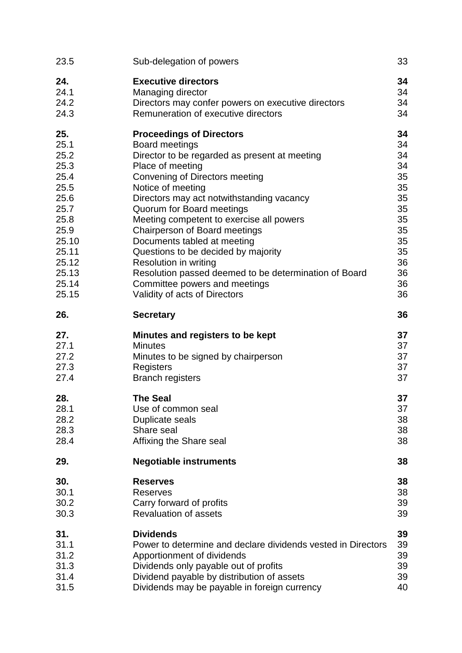| 23.5  | Sub-delegation of powers                              | 33 |
|-------|-------------------------------------------------------|----|
| 24.   | <b>Executive directors</b>                            | 34 |
| 24.1  | Managing director                                     | 34 |
| 24.2  | Directors may confer powers on executive directors    | 34 |
| 24.3  | Remuneration of executive directors                   | 34 |
| 25.   | <b>Proceedings of Directors</b>                       | 34 |
| 25.1  | Board meetings                                        | 34 |
| 25.2  | Director to be regarded as present at meeting         | 34 |
| 25.3  | Place of meeting                                      | 34 |
| 25.4  | Convening of Directors meeting                        | 35 |
| 25.5  | Notice of meeting                                     | 35 |
| 25.6  | Directors may act notwithstanding vacancy             | 35 |
| 25.7  | Quorum for Board meetings                             | 35 |
| 25.8  | Meeting competent to exercise all powers              | 35 |
| 25.9  | Chairperson of Board meetings                         | 35 |
| 25.10 | Documents tabled at meeting                           | 35 |
| 25.11 | Questions to be decided by majority                   | 35 |
| 25.12 | Resolution in writing                                 | 36 |
| 25.13 | Resolution passed deemed to be determination of Board | 36 |
| 25.14 | Committee powers and meetings                         | 36 |
| 25.15 | Validity of acts of Directors                         | 36 |
| 26.   | <b>Secretary</b>                                      | 36 |
| 27.   | Minutes and registers to be kept                      | 37 |
| 27.1  | <b>Minutes</b>                                        | 37 |
| 27.2  | Minutes to be signed by chairperson                   | 37 |
| 27.3  | Registers                                             | 37 |
| 27.4  | <b>Branch registers</b>                               | 37 |
| 28.   | <b>The Seal</b>                                       | 37 |
| 28.1  | Use of common seal                                    | 37 |
| 28.2  | Duplicate seals                                       | 38 |
| 28.3  | Share seal                                            | 38 |
| 28.4  | Affixing the Share seal                               | 38 |
| 29.   | <b>Negotiable instruments</b>                         | 38 |
| 30.   | <b>Reserves</b>                                       | 38 |
| 30.1  | <b>Reserves</b>                                       | 38 |
| 30.2  | Carry forward of profits                              | 39 |
| 30.3  | <b>Revaluation of assets</b>                          | 39 |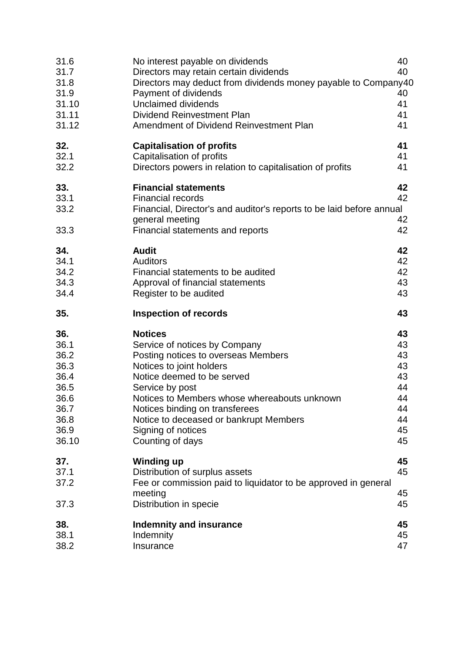| 31.6<br>31.7<br>31.8<br>31.9<br>31.10<br>31.11<br>31.12                              | No interest payable on dividends<br>Directors may retain certain dividends<br>Directors may deduct from dividends money payable to Company40<br>Payment of dividends<br><b>Unclaimed dividends</b><br><b>Dividend Reinvestment Plan</b><br>Amendment of Dividend Reinvestment Plan                                                        | 40<br>40<br>40<br>41<br>41<br>41                               |
|--------------------------------------------------------------------------------------|-------------------------------------------------------------------------------------------------------------------------------------------------------------------------------------------------------------------------------------------------------------------------------------------------------------------------------------------|----------------------------------------------------------------|
| 32.<br>32.1<br>32.2                                                                  | <b>Capitalisation of profits</b><br>Capitalisation of profits<br>Directors powers in relation to capitalisation of profits                                                                                                                                                                                                                | 41<br>41<br>41                                                 |
| 33.<br>33.1<br>33.2<br>33.3                                                          | <b>Financial statements</b><br><b>Financial records</b><br>Financial, Director's and auditor's reports to be laid before annual<br>general meeting<br>Financial statements and reports                                                                                                                                                    | 42<br>42<br>42<br>42                                           |
| 34.<br>34.1<br>34.2<br>34.3<br>34.4                                                  | <b>Audit</b><br><b>Auditors</b><br>Financial statements to be audited<br>Approval of financial statements<br>Register to be audited                                                                                                                                                                                                       | 42<br>42<br>42<br>43<br>43                                     |
|                                                                                      |                                                                                                                                                                                                                                                                                                                                           |                                                                |
| 35.                                                                                  | <b>Inspection of records</b>                                                                                                                                                                                                                                                                                                              | 43                                                             |
| 36.<br>36.1<br>36.2<br>36.3<br>36.4<br>36.5<br>36.6<br>36.7<br>36.8<br>36.9<br>36.10 | <b>Notices</b><br>Service of notices by Company<br>Posting notices to overseas Members<br>Notices to joint holders<br>Notice deemed to be served<br>Service by post<br>Notices to Members whose whereabouts unknown<br>Notices binding on transferees<br>Notice to deceased or bankrupt Members<br>Signing of notices<br>Counting of days | 43<br>43<br>43<br>43<br>43<br>44<br>44<br>44<br>44<br>45<br>45 |
| 37.<br>37.1<br>37.2<br>37.3                                                          | <b>Winding up</b><br>Distribution of surplus assets<br>Fee or commission paid to liquidator to be approved in general<br>meeting<br>Distribution in specie                                                                                                                                                                                | 45<br>45<br>45<br>45                                           |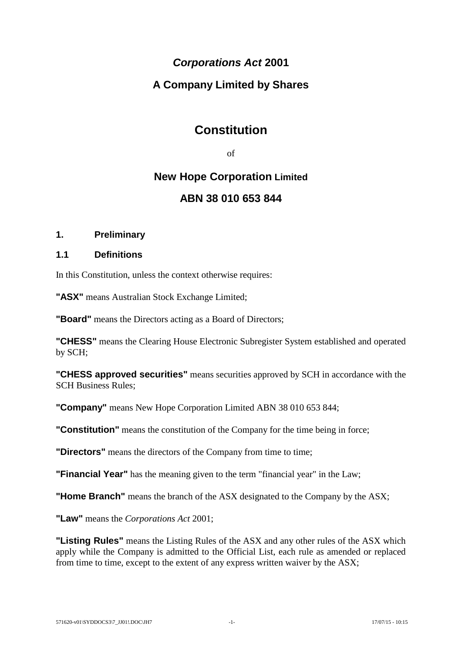# *Corporations Act* **2001**

# **A Company Limited by Shares**

# **Constitution**

of

# **New Hope Corporation Limited ABN 38 010 653 844**

# **1. Preliminary**

# **1.1 Definitions**

In this Constitution, unless the context otherwise requires:

**"ASX"** means Australian Stock Exchange Limited;

**"Board"** means the Directors acting as a Board of Directors;

**"CHESS"** means the Clearing House Electronic Subregister System established and operated by SCH;

**"CHESS approved securities"** means securities approved by SCH in accordance with the SCH Business Rules;

**"Company"** means New Hope Corporation Limited ABN 38 010 653 844;

**"Constitution"** means the constitution of the Company for the time being in force;

**"Directors"** means the directors of the Company from time to time;

**"Financial Year"** has the meaning given to the term "financial year" in the Law;

**"Home Branch"** means the branch of the ASX designated to the Company by the ASX;

**"Law"** means the *Corporations Act* 2001;

**"Listing Rules"** means the Listing Rules of the ASX and any other rules of the ASX which apply while the Company is admitted to the Official List, each rule as amended or replaced from time to time, except to the extent of any express written waiver by the ASX;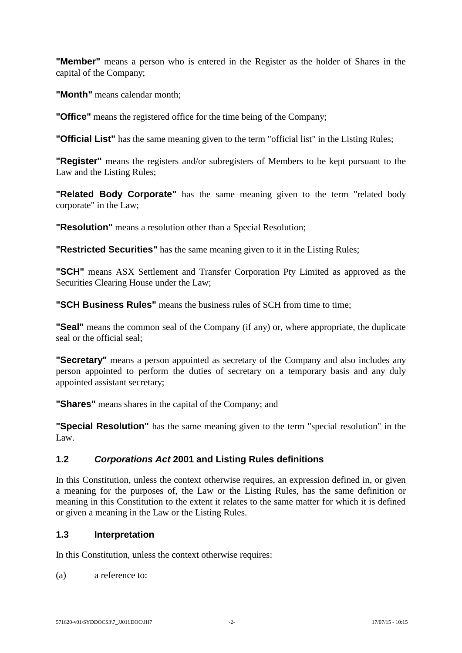**"Member"** means a person who is entered in the Register as the holder of Shares in the capital of the Company;

**"Month"** means calendar month;

**"Office"** means the registered office for the time being of the Company;

**"Official List"** has the same meaning given to the term "official list" in the Listing Rules;

**"Register"** means the registers and/or subregisters of Members to be kept pursuant to the Law and the Listing Rules;

**"Related Body Corporate"** has the same meaning given to the term "related body corporate" in the Law;

**"Resolution"** means a resolution other than a Special Resolution;

**"Restricted Securities"** has the same meaning given to it in the Listing Rules;

**"SCH"** means ASX Settlement and Transfer Corporation Pty Limited as approved as the Securities Clearing House under the Law;

**"SCH Business Rules"** means the business rules of SCH from time to time;

**"Seal"** means the common seal of the Company (if any) or, where appropriate, the duplicate seal or the official seal;

**"Secretary"** means a person appointed as secretary of the Company and also includes any person appointed to perform the duties of secretary on a temporary basis and any duly appointed assistant secretary;

**"Shares"** means shares in the capital of the Company; and

**"Special Resolution"** has the same meaning given to the term "special resolution" in the Law.

# **1.2** *Corporations Act* **2001 and Listing Rules definitions**

In this Constitution, unless the context otherwise requires, an expression defined in, or given a meaning for the purposes of, the Law or the Listing Rules, has the same definition or meaning in this Constitution to the extent it relates to the same matter for which it is defined or given a meaning in the Law or the Listing Rules.

# **1.3 Interpretation**

In this Constitution, unless the context otherwise requires:

(a) a reference to: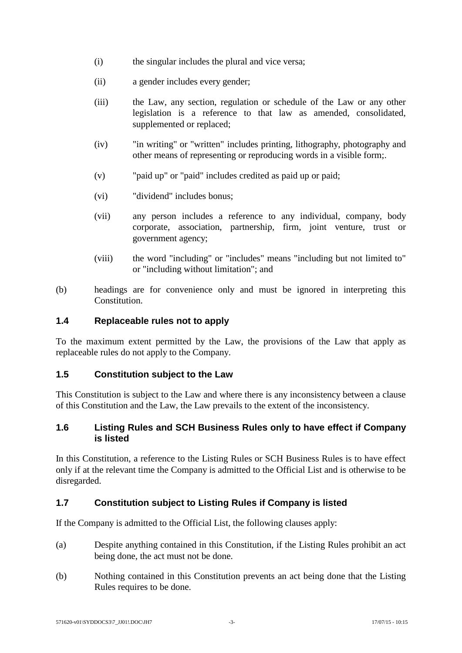- (i) the singular includes the plural and vice versa;
- (ii) a gender includes every gender;
- (iii) the Law, any section, regulation or schedule of the Law or any other legislation is a reference to that law as amended, consolidated, supplemented or replaced;
- (iv) "in writing" or "written" includes printing, lithography, photography and other means of representing or reproducing words in a visible form;.
- (v) "paid up" or "paid" includes credited as paid up or paid;
- (vi) "dividend" includes bonus;
- (vii) any person includes a reference to any individual, company, body corporate, association, partnership, firm, joint venture, trust or government agency;
- (viii) the word "including" or "includes" means "including but not limited to" or "including without limitation"; and
- (b) headings are for convenience only and must be ignored in interpreting this Constitution.

#### **1.4 Replaceable rules not to apply**

To the maximum extent permitted by the Law, the provisions of the Law that apply as replaceable rules do not apply to the Company.

# **1.5 Constitution subject to the Law**

This Constitution is subject to the Law and where there is any inconsistency between a clause of this Constitution and the Law, the Law prevails to the extent of the inconsistency.

# **1.6 Listing Rules and SCH Business Rules only to have effect if Company is listed**

In this Constitution, a reference to the Listing Rules or SCH Business Rules is to have effect only if at the relevant time the Company is admitted to the Official List and is otherwise to be disregarded.

# **1.7 Constitution subject to Listing Rules if Company is listed**

If the Company is admitted to the Official List, the following clauses apply:

- (a) Despite anything contained in this Constitution, if the Listing Rules prohibit an act being done, the act must not be done.
- (b) Nothing contained in this Constitution prevents an act being done that the Listing Rules requires to be done.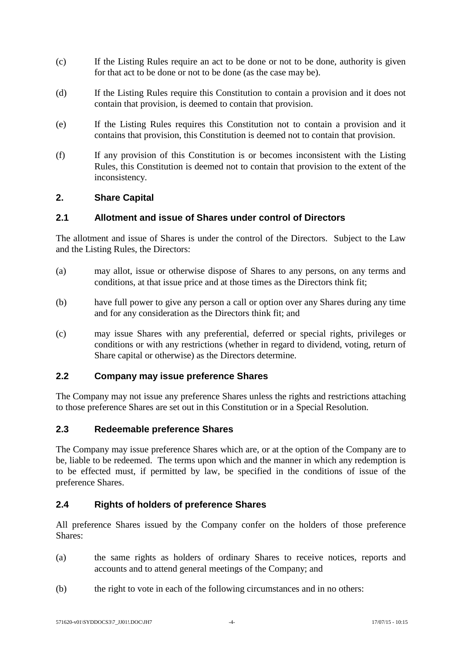- (c) If the Listing Rules require an act to be done or not to be done, authority is given for that act to be done or not to be done (as the case may be).
- (d) If the Listing Rules require this Constitution to contain a provision and it does not contain that provision, is deemed to contain that provision.
- (e) If the Listing Rules requires this Constitution not to contain a provision and it contains that provision, this Constitution is deemed not to contain that provision.
- (f) If any provision of this Constitution is or becomes inconsistent with the Listing Rules, this Constitution is deemed not to contain that provision to the extent of the inconsistency.

# **2. Share Capital**

# **2.1 Allotment and issue of Shares under control of Directors**

The allotment and issue of Shares is under the control of the Directors. Subject to the Law and the Listing Rules, the Directors:

- (a) may allot, issue or otherwise dispose of Shares to any persons, on any terms and conditions, at that issue price and at those times as the Directors think fit;
- (b) have full power to give any person a call or option over any Shares during any time and for any consideration as the Directors think fit; and
- (c) may issue Shares with any preferential, deferred or special rights, privileges or conditions or with any restrictions (whether in regard to dividend, voting, return of Share capital or otherwise) as the Directors determine.

# **2.2 Company may issue preference Shares**

The Company may not issue any preference Shares unless the rights and restrictions attaching to those preference Shares are set out in this Constitution or in a Special Resolution.

# **2.3 Redeemable preference Shares**

The Company may issue preference Shares which are, or at the option of the Company are to be, liable to be redeemed. The terms upon which and the manner in which any redemption is to be effected must, if permitted by law, be specified in the conditions of issue of the preference Shares.

# **2.4 Rights of holders of preference Shares**

All preference Shares issued by the Company confer on the holders of those preference Shares:

- (a) the same rights as holders of ordinary Shares to receive notices, reports and accounts and to attend general meetings of the Company; and
- (b) the right to vote in each of the following circumstances and in no others: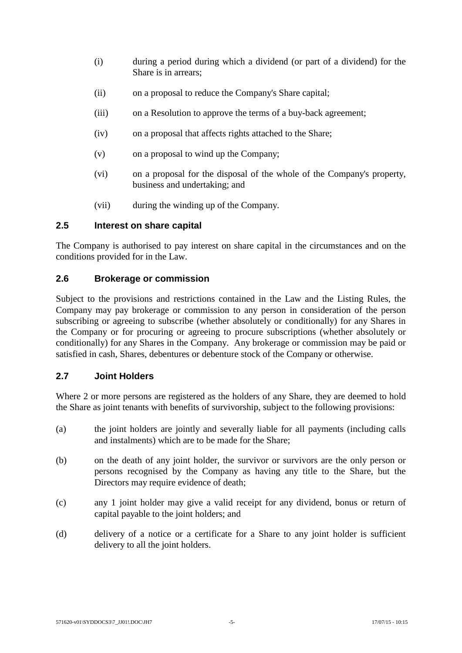- (i) during a period during which a dividend (or part of a dividend) for the Share is in arrears;
- (ii) on a proposal to reduce the Company's Share capital;
- (iii) on a Resolution to approve the terms of a buy-back agreement;
- (iv) on a proposal that affects rights attached to the Share;
- (v) on a proposal to wind up the Company;
- (vi) on a proposal for the disposal of the whole of the Company's property, business and undertaking; and
- (vii) during the winding up of the Company.

### **2.5 Interest on share capital**

The Company is authorised to pay interest on share capital in the circumstances and on the conditions provided for in the Law.

#### **2.6 Brokerage or commission**

Subject to the provisions and restrictions contained in the Law and the Listing Rules, the Company may pay brokerage or commission to any person in consideration of the person subscribing or agreeing to subscribe (whether absolutely or conditionally) for any Shares in the Company or for procuring or agreeing to procure subscriptions (whether absolutely or conditionally) for any Shares in the Company. Any brokerage or commission may be paid or satisfied in cash, Shares, debentures or debenture stock of the Company or otherwise.

#### **2.7 Joint Holders**

Where 2 or more persons are registered as the holders of any Share, they are deemed to hold the Share as joint tenants with benefits of survivorship, subject to the following provisions:

- (a) the joint holders are jointly and severally liable for all payments (including calls and instalments) which are to be made for the Share;
- (b) on the death of any joint holder, the survivor or survivors are the only person or persons recognised by the Company as having any title to the Share, but the Directors may require evidence of death;
- (c) any 1 joint holder may give a valid receipt for any dividend, bonus or return of capital payable to the joint holders; and
- (d) delivery of a notice or a certificate for a Share to any joint holder is sufficient delivery to all the joint holders.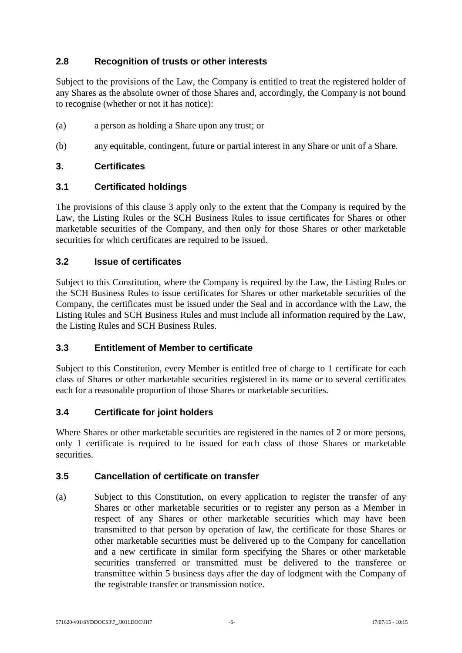# **2.8 Recognition of trusts or other interests**

Subject to the provisions of the Law, the Company is entitled to treat the registered holder of any Shares as the absolute owner of those Shares and, accordingly, the Company is not bound to recognise (whether or not it has notice):

- (a) a person as holding a Share upon any trust; or
- (b) any equitable, contingent, future or partial interest in any Share or unit of a Share.

# <span id="page-12-0"></span>**3. Certificates**

#### **3.1 Certificated holdings**

The provisions of this clause [3](#page-12-0) apply only to the extent that the Company is required by the Law, the Listing Rules or the SCH Business Rules to issue certificates for Shares or other marketable securities of the Company, and then only for those Shares or other marketable securities for which certificates are required to be issued.

#### **3.2 Issue of certificates**

Subject to this Constitution, where the Company is required by the Law, the Listing Rules or the SCH Business Rules to issue certificates for Shares or other marketable securities of the Company, the certificates must be issued under the Seal and in accordance with the Law, the Listing Rules and SCH Business Rules and must include all information required by the Law, the Listing Rules and SCH Business Rules.

# **3.3 Entitlement of Member to certificate**

Subject to this Constitution, every Member is entitled free of charge to 1 certificate for each class of Shares or other marketable securities registered in its name or to several certificates each for a reasonable proportion of those Shares or marketable securities.

# **3.4 Certificate for joint holders**

Where Shares or other marketable securities are registered in the names of 2 or more persons, only 1 certificate is required to be issued for each class of those Shares or marketable securities.

#### **3.5 Cancellation of certificate on transfer**

(a) Subject to this Constitution, on every application to register the transfer of any Shares or other marketable securities or to register any person as a Member in respect of any Shares or other marketable securities which may have been transmitted to that person by operation of law, the certificate for those Shares or other marketable securities must be delivered up to the Company for cancellation and a new certificate in similar form specifying the Shares or other marketable securities transferred or transmitted must be delivered to the transferee or transmittee within 5 business days after the day of lodgment with the Company of the registrable transfer or transmission notice.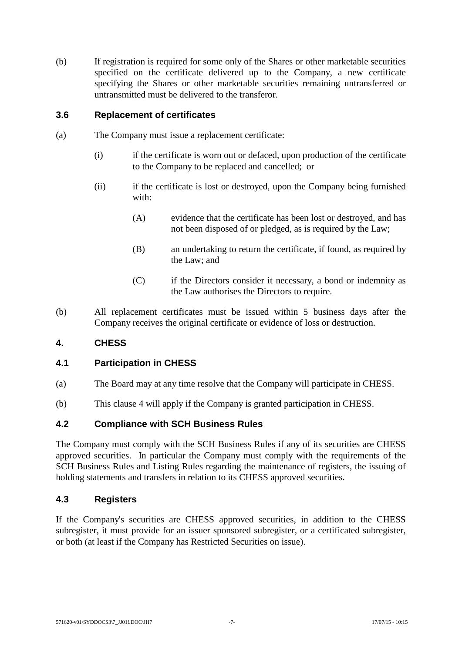(b) If registration is required for some only of the Shares or other marketable securities specified on the certificate delivered up to the Company, a new certificate specifying the Shares or other marketable securities remaining untransferred or untransmitted must be delivered to the transferor.

### **3.6 Replacement of certificates**

- (a) The Company must issue a replacement certificate:
	- (i) if the certificate is worn out or defaced, upon production of the certificate to the Company to be replaced and cancelled; or
	- (ii) if the certificate is lost or destroyed, upon the Company being furnished with:
		- (A) evidence that the certificate has been lost or destroyed, and has not been disposed of or pledged, as is required by the Law;
		- (B) an undertaking to return the certificate, if found, as required by the Law; and
		- (C) if the Directors consider it necessary, a bond or indemnity as the Law authorises the Directors to require.
- (b) All replacement certificates must be issued within 5 business days after the Company receives the original certificate or evidence of loss or destruction.

# <span id="page-13-0"></span>**4. CHESS**

# **4.1 Participation in CHESS**

- (a) The Board may at any time resolve that the Company will participate in CHESS.
- (b) This clause [4](#page-13-0) will apply if the Company is granted participation in CHESS.

# **4.2 Compliance with SCH Business Rules**

The Company must comply with the SCH Business Rules if any of its securities are CHESS approved securities. In particular the Company must comply with the requirements of the SCH Business Rules and Listing Rules regarding the maintenance of registers, the issuing of holding statements and transfers in relation to its CHESS approved securities.

#### **4.3 Registers**

If the Company's securities are CHESS approved securities, in addition to the CHESS subregister, it must provide for an issuer sponsored subregister, or a certificated subregister, or both (at least if the Company has Restricted Securities on issue).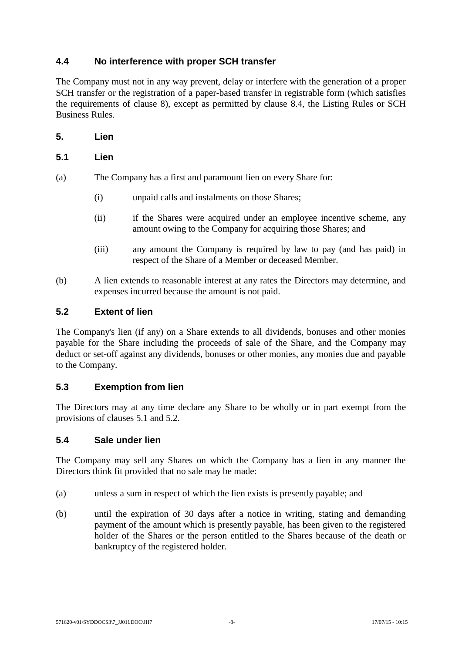# **4.4 No interference with proper SCH transfer**

The Company must not in any way prevent, delay or interfere with the generation of a proper SCH transfer or the registration of a paper-based transfer in registrable form (which satisfies the requirements of clause [8\)](#page-18-0), except as permitted by clause [8.4,](#page-19-0) the Listing Rules or SCH Business Rules.

**5. Lien**

# <span id="page-14-0"></span>**5.1 Lien**

- (a) The Company has a first and paramount lien on every Share for:
	- (i) unpaid calls and instalments on those Shares;
	- (ii) if the Shares were acquired under an employee incentive scheme, any amount owing to the Company for acquiring those Shares; and
	- (iii) any amount the Company is required by law to pay (and has paid) in respect of the Share of a Member or deceased Member.
- (b) A lien extends to reasonable interest at any rates the Directors may determine, and expenses incurred because the amount is not paid.

#### <span id="page-14-1"></span>**5.2 Extent of lien**

The Company's lien (if any) on a Share extends to all dividends, bonuses and other monies payable for the Share including the proceeds of sale of the Share, and the Company may deduct or set-off against any dividends, bonuses or other monies, any monies due and payable to the Company.

# **5.3 Exemption from lien**

The Directors may at any time declare any Share to be wholly or in part exempt from the provisions of clauses [5.1](#page-14-0) and [5.2.](#page-14-1)

#### **5.4 Sale under lien**

The Company may sell any Shares on which the Company has a lien in any manner the Directors think fit provided that no sale may be made:

- (a) unless a sum in respect of which the lien exists is presently payable; and
- (b) until the expiration of 30 days after a notice in writing, stating and demanding payment of the amount which is presently payable, has been given to the registered holder of the Shares or the person entitled to the Shares because of the death or bankruptcy of the registered holder.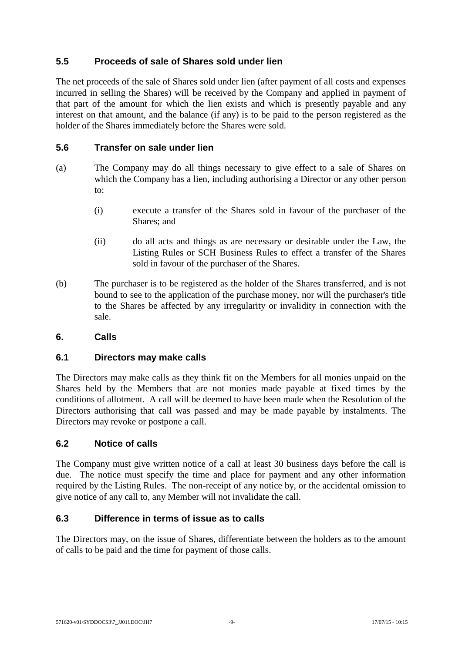# **5.5 Proceeds of sale of Shares sold under lien**

The net proceeds of the sale of Shares sold under lien (after payment of all costs and expenses incurred in selling the Shares) will be received by the Company and applied in payment of that part of the amount for which the lien exists and which is presently payable and any interest on that amount, and the balance (if any) is to be paid to the person registered as the holder of the Shares immediately before the Shares were sold.

# **5.6 Transfer on sale under lien**

- (a) The Company may do all things necessary to give effect to a sale of Shares on which the Company has a lien, including authorising a Director or any other person to:
	- (i) execute a transfer of the Shares sold in favour of the purchaser of the Shares; and
	- (ii) do all acts and things as are necessary or desirable under the Law, the Listing Rules or SCH Business Rules to effect a transfer of the Shares sold in favour of the purchaser of the Shares.
- (b) The purchaser is to be registered as the holder of the Shares transferred, and is not bound to see to the application of the purchase money, nor will the purchaser's title to the Shares be affected by any irregularity or invalidity in connection with the sale.

# **6. Calls**

# **6.1 Directors may make calls**

The Directors may make calls as they think fit on the Members for all monies unpaid on the Shares held by the Members that are not monies made payable at fixed times by the conditions of allotment. A call will be deemed to have been made when the Resolution of the Directors authorising that call was passed and may be made payable by instalments. The Directors may revoke or postpone a call.

# **6.2 Notice of calls**

The Company must give written notice of a call at least 30 business days before the call is due. The notice must specify the time and place for payment and any other information required by the Listing Rules. The non-receipt of any notice by, or the accidental omission to give notice of any call to, any Member will not invalidate the call.

#### **6.3 Difference in terms of issue as to calls**

The Directors may, on the issue of Shares, differentiate between the holders as to the amount of calls to be paid and the time for payment of those calls.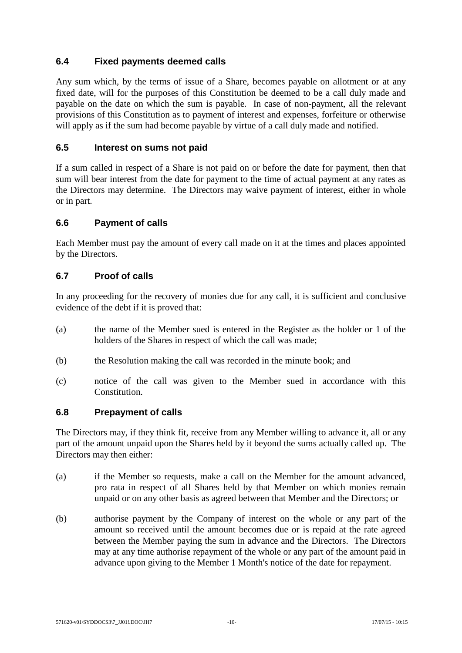# **6.4 Fixed payments deemed calls**

Any sum which, by the terms of issue of a Share, becomes payable on allotment or at any fixed date, will for the purposes of this Constitution be deemed to be a call duly made and payable on the date on which the sum is payable. In case of non-payment, all the relevant provisions of this Constitution as to payment of interest and expenses, forfeiture or otherwise will apply as if the sum had become payable by virtue of a call duly made and notified.

# **6.5 Interest on sums not paid**

If a sum called in respect of a Share is not paid on or before the date for payment, then that sum will bear interest from the date for payment to the time of actual payment at any rates as the Directors may determine. The Directors may waive payment of interest, either in whole or in part.

# **6.6 Payment of calls**

Each Member must pay the amount of every call made on it at the times and places appointed by the Directors.

# **6.7 Proof of calls**

In any proceeding for the recovery of monies due for any call, it is sufficient and conclusive evidence of the debt if it is proved that:

- (a) the name of the Member sued is entered in the Register as the holder or 1 of the holders of the Shares in respect of which the call was made;
- (b) the Resolution making the call was recorded in the minute book; and
- (c) notice of the call was given to the Member sued in accordance with this Constitution.

# **6.8 Prepayment of calls**

The Directors may, if they think fit, receive from any Member willing to advance it, all or any part of the amount unpaid upon the Shares held by it beyond the sums actually called up. The Directors may then either:

- (a) if the Member so requests, make a call on the Member for the amount advanced, pro rata in respect of all Shares held by that Member on which monies remain unpaid or on any other basis as agreed between that Member and the Directors; or
- (b) authorise payment by the Company of interest on the whole or any part of the amount so received until the amount becomes due or is repaid at the rate agreed between the Member paying the sum in advance and the Directors. The Directors may at any time authorise repayment of the whole or any part of the amount paid in advance upon giving to the Member 1 Month's notice of the date for repayment.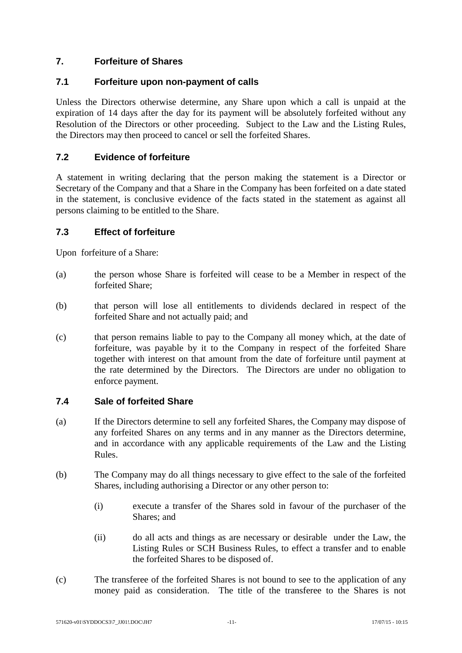# **7. Forfeiture of Shares**

# **7.1 Forfeiture upon non-payment of calls**

Unless the Directors otherwise determine, any Share upon which a call is unpaid at the expiration of 14 days after the day for its payment will be absolutely forfeited without any Resolution of the Directors or other proceeding. Subject to the Law and the Listing Rules, the Directors may then proceed to cancel or sell the forfeited Shares.

# **7.2 Evidence of forfeiture**

A statement in writing declaring that the person making the statement is a Director or Secretary of the Company and that a Share in the Company has been forfeited on a date stated in the statement, is conclusive evidence of the facts stated in the statement as against all persons claiming to be entitled to the Share.

# **7.3 Effect of forfeiture**

Upon forfeiture of a Share:

- (a) the person whose Share is forfeited will cease to be a Member in respect of the forfeited Share;
- (b) that person will lose all entitlements to dividends declared in respect of the forfeited Share and not actually paid; and
- (c) that person remains liable to pay to the Company all money which, at the date of forfeiture, was payable by it to the Company in respect of the forfeited Share together with interest on that amount from the date of forfeiture until payment at the rate determined by the Directors. The Directors are under no obligation to enforce payment.

# **7.4 Sale of forfeited Share**

- (a) If the Directors determine to sell any forfeited Shares, the Company may dispose of any forfeited Shares on any terms and in any manner as the Directors determine, and in accordance with any applicable requirements of the Law and the Listing Rules.
- (b) The Company may do all things necessary to give effect to the sale of the forfeited Shares, including authorising a Director or any other person to:
	- (i) execute a transfer of the Shares sold in favour of the purchaser of the Shares; and
	- (ii) do all acts and things as are necessary or desirable under the Law, the Listing Rules or SCH Business Rules, to effect a transfer and to enable the forfeited Shares to be disposed of.
- (c) The transferee of the forfeited Shares is not bound to see to the application of any money paid as consideration. The title of the transferee to the Shares is not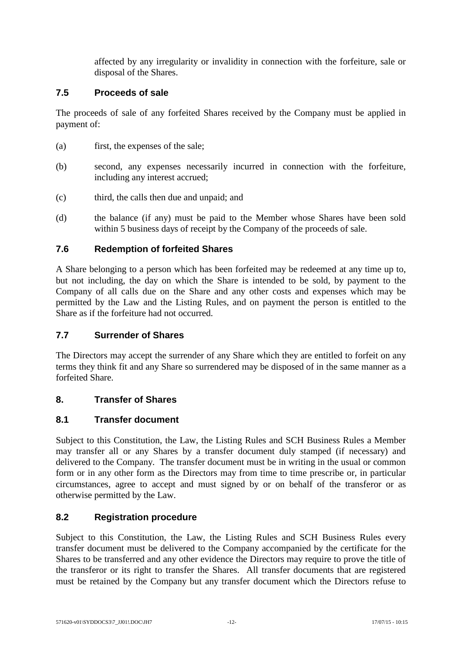affected by any irregularity or invalidity in connection with the forfeiture, sale or disposal of the Shares.

# **7.5 Proceeds of sale**

The proceeds of sale of any forfeited Shares received by the Company must be applied in payment of:

- (a) first, the expenses of the sale;
- (b) second, any expenses necessarily incurred in connection with the forfeiture, including any interest accrued;
- (c) third, the calls then due and unpaid; and
- (d) the balance (if any) must be paid to the Member whose Shares have been sold within 5 business days of receipt by the Company of the proceeds of sale.

# **7.6 Redemption of forfeited Shares**

A Share belonging to a person which has been forfeited may be redeemed at any time up to, but not including, the day on which the Share is intended to be sold, by payment to the Company of all calls due on the Share and any other costs and expenses which may be permitted by the Law and the Listing Rules, and on payment the person is entitled to the Share as if the forfeiture had not occurred.

# **7.7 Surrender of Shares**

The Directors may accept the surrender of any Share which they are entitled to forfeit on any terms they think fit and any Share so surrendered may be disposed of in the same manner as a forfeited Share.

# <span id="page-18-0"></span>**8. Transfer of Shares**

# <span id="page-18-1"></span>**8.1 Transfer document**

Subject to this Constitution, the Law, the Listing Rules and SCH Business Rules a Member may transfer all or any Shares by a transfer document duly stamped (if necessary) and delivered to the Company. The transfer document must be in writing in the usual or common form or in any other form as the Directors may from time to time prescribe or, in particular circumstances, agree to accept and must signed by or on behalf of the transferor or as otherwise permitted by the Law.

# <span id="page-18-2"></span>**8.2 Registration procedure**

Subject to this Constitution, the Law, the Listing Rules and SCH Business Rules every transfer document must be delivered to the Company accompanied by the certificate for the Shares to be transferred and any other evidence the Directors may require to prove the title of the transferor or its right to transfer the Shares. All transfer documents that are registered must be retained by the Company but any transfer document which the Directors refuse to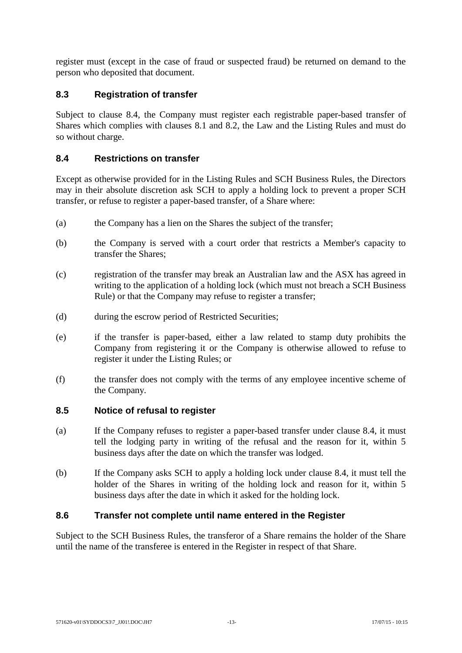register must (except in the case of fraud or suspected fraud) be returned on demand to the person who deposited that document.

# **8.3 Registration of transfer**

Subject to clause [8.4,](#page-19-0) the Company must register each registrable paper-based transfer of Shares which complies with clauses [8.1](#page-18-1) and [8.2,](#page-18-2) the Law and the Listing Rules and must do so without charge.

# <span id="page-19-0"></span>**8.4 Restrictions on transfer**

Except as otherwise provided for in the Listing Rules and SCH Business Rules, the Directors may in their absolute discretion ask SCH to apply a holding lock to prevent a proper SCH transfer, or refuse to register a paper-based transfer, of a Share where:

- (a) the Company has a lien on the Shares the subject of the transfer;
- (b) the Company is served with a court order that restricts a Member's capacity to transfer the Shares;
- (c) registration of the transfer may break an Australian law and the ASX has agreed in writing to the application of a holding lock (which must not breach a SCH Business Rule) or that the Company may refuse to register a transfer;
- (d) during the escrow period of Restricted Securities;
- (e) if the transfer is paper-based, either a law related to stamp duty prohibits the Company from registering it or the Company is otherwise allowed to refuse to register it under the Listing Rules; or
- (f) the transfer does not comply with the terms of any employee incentive scheme of the Company.

# **8.5 Notice of refusal to register**

- (a) If the Company refuses to register a paper-based transfer under clause [8.4,](#page-19-0) it must tell the lodging party in writing of the refusal and the reason for it, within 5 business days after the date on which the transfer was lodged.
- (b) If the Company asks SCH to apply a holding lock under clause [8.4,](#page-19-0) it must tell the holder of the Shares in writing of the holding lock and reason for it, within 5 business days after the date in which it asked for the holding lock.

# **8.6 Transfer not complete until name entered in the Register**

Subject to the SCH Business Rules, the transferor of a Share remains the holder of the Share until the name of the transferee is entered in the Register in respect of that Share.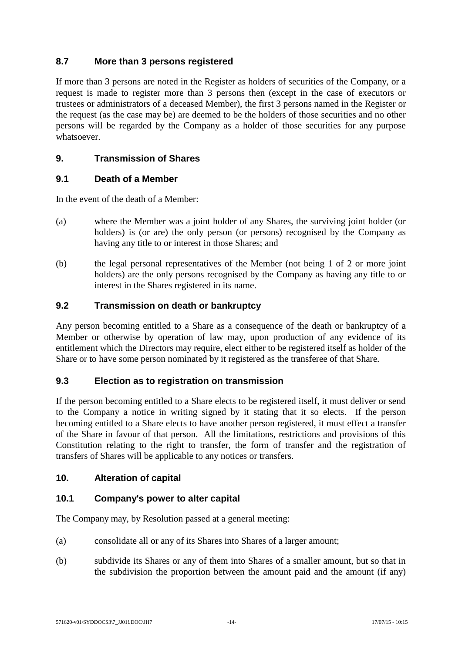# **8.7 More than 3 persons registered**

If more than 3 persons are noted in the Register as holders of securities of the Company, or a request is made to register more than 3 persons then (except in the case of executors or trustees or administrators of a deceased Member), the first 3 persons named in the Register or the request (as the case may be) are deemed to be the holders of those securities and no other persons will be regarded by the Company as a holder of those securities for any purpose whatsoever.

# **9. Transmission of Shares**

# **9.1 Death of a Member**

In the event of the death of a Member:

- (a) where the Member was a joint holder of any Shares, the surviving joint holder (or holders) is (or are) the only person (or persons) recognised by the Company as having any title to or interest in those Shares; and
- (b) the legal personal representatives of the Member (not being 1 of 2 or more joint holders) are the only persons recognised by the Company as having any title to or interest in the Shares registered in its name.

#### **9.2 Transmission on death or bankruptcy**

Any person becoming entitled to a Share as a consequence of the death or bankruptcy of a Member or otherwise by operation of law may, upon production of any evidence of its entitlement which the Directors may require, elect either to be registered itself as holder of the Share or to have some person nominated by it registered as the transferee of that Share.

# **9.3 Election as to registration on transmission**

If the person becoming entitled to a Share elects to be registered itself, it must deliver or send to the Company a notice in writing signed by it stating that it so elects. If the person becoming entitled to a Share elects to have another person registered, it must effect a transfer of the Share in favour of that person. All the limitations, restrictions and provisions of this Constitution relating to the right to transfer, the form of transfer and the registration of transfers of Shares will be applicable to any notices or transfers.

# **10. Alteration of capital**

# **10.1 Company's power to alter capital**

The Company may, by Resolution passed at a general meeting:

- (a) consolidate all or any of its Shares into Shares of a larger amount;
- (b) subdivide its Shares or any of them into Shares of a smaller amount, but so that in the subdivision the proportion between the amount paid and the amount (if any)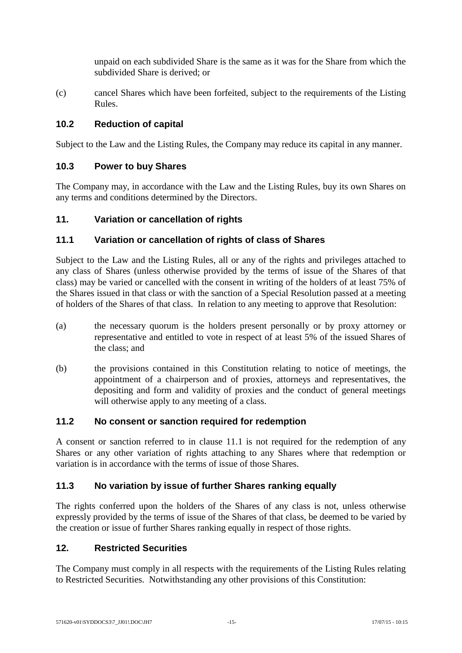unpaid on each subdivided Share is the same as it was for the Share from which the subdivided Share is derived; or

(c) cancel Shares which have been forfeited, subject to the requirements of the Listing Rules.

# **10.2 Reduction of capital**

Subject to the Law and the Listing Rules, the Company may reduce its capital in any manner.

# **10.3 Power to buy Shares**

The Company may, in accordance with the Law and the Listing Rules, buy its own Shares on any terms and conditions determined by the Directors.

# **11. Variation or cancellation of rights**

# <span id="page-21-0"></span>**11.1 Variation or cancellation of rights of class of Shares**

Subject to the Law and the Listing Rules, all or any of the rights and privileges attached to any class of Shares (unless otherwise provided by the terms of issue of the Shares of that class) may be varied or cancelled with the consent in writing of the holders of at least 75% of the Shares issued in that class or with the sanction of a Special Resolution passed at a meeting of holders of the Shares of that class. In relation to any meeting to approve that Resolution:

- (a) the necessary quorum is the holders present personally or by proxy attorney or representative and entitled to vote in respect of at least 5% of the issued Shares of the class; and
- (b) the provisions contained in this Constitution relating to notice of meetings, the appointment of a chairperson and of proxies, attorneys and representatives, the depositing and form and validity of proxies and the conduct of general meetings will otherwise apply to any meeting of a class.

# **11.2 No consent or sanction required for redemption**

A consent or sanction referred to in clause [11.1](#page-21-0) is not required for the redemption of any Shares or any other variation of rights attaching to any Shares where that redemption or variation is in accordance with the terms of issue of those Shares.

# **11.3 No variation by issue of further Shares ranking equally**

The rights conferred upon the holders of the Shares of any class is not, unless otherwise expressly provided by the terms of issue of the Shares of that class, be deemed to be varied by the creation or issue of further Shares ranking equally in respect of those rights.

# **12. Restricted Securities**

The Company must comply in all respects with the requirements of the Listing Rules relating to Restricted Securities. Notwithstanding any other provisions of this Constitution: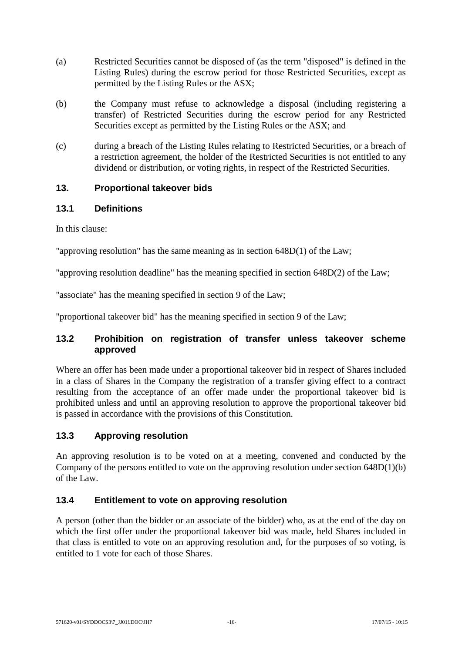- (a) Restricted Securities cannot be disposed of (as the term "disposed" is defined in the Listing Rules) during the escrow period for those Restricted Securities, except as permitted by the Listing Rules or the ASX;
- (b) the Company must refuse to acknowledge a disposal (including registering a transfer) of Restricted Securities during the escrow period for any Restricted Securities except as permitted by the Listing Rules or the ASX; and
- (c) during a breach of the Listing Rules relating to Restricted Securities, or a breach of a restriction agreement, the holder of the Restricted Securities is not entitled to any dividend or distribution, or voting rights, in respect of the Restricted Securities.

# **13. Proportional takeover bids**

# **13.1 Definitions**

In this clause:

"approving resolution" has the same meaning as in section 648D(1) of the Law;

"approving resolution deadline" has the meaning specified in section 648D(2) of the Law;

"associate" has the meaning specified in section 9 of the Law;

"proportional takeover bid" has the meaning specified in section 9 of the Law;

# **13.2 Prohibition on registration of transfer unless takeover scheme approved**

Where an offer has been made under a proportional takeover bid in respect of Shares included in a class of Shares in the Company the registration of a transfer giving effect to a contract resulting from the acceptance of an offer made under the proportional takeover bid is prohibited unless and until an approving resolution to approve the proportional takeover bid is passed in accordance with the provisions of this Constitution.

# **13.3 Approving resolution**

An approving resolution is to be voted on at a meeting, convened and conducted by the Company of the persons entitled to vote on the approving resolution under section 648D(1)(b) of the Law.

# **13.4 Entitlement to vote on approving resolution**

A person (other than the bidder or an associate of the bidder) who, as at the end of the day on which the first offer under the proportional takeover bid was made, held Shares included in that class is entitled to vote on an approving resolution and, for the purposes of so voting, is entitled to 1 vote for each of those Shares.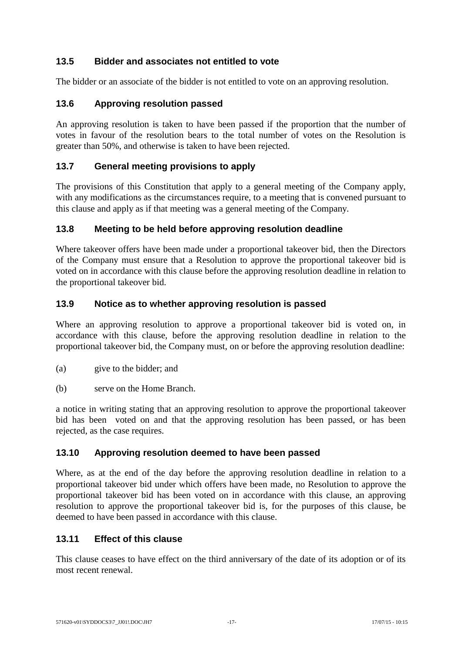# **13.5 Bidder and associates not entitled to vote**

The bidder or an associate of the bidder is not entitled to vote on an approving resolution.

# **13.6 Approving resolution passed**

An approving resolution is taken to have been passed if the proportion that the number of votes in favour of the resolution bears to the total number of votes on the Resolution is greater than 50%, and otherwise is taken to have been rejected.

# **13.7 General meeting provisions to apply**

The provisions of this Constitution that apply to a general meeting of the Company apply, with any modifications as the circumstances require, to a meeting that is convened pursuant to this clause and apply as if that meeting was a general meeting of the Company.

# **13.8 Meeting to be held before approving resolution deadline**

Where takeover offers have been made under a proportional takeover bid, then the Directors of the Company must ensure that a Resolution to approve the proportional takeover bid is voted on in accordance with this clause before the approving resolution deadline in relation to the proportional takeover bid.

# **13.9 Notice as to whether approving resolution is passed**

Where an approving resolution to approve a proportional takeover bid is voted on, in accordance with this clause, before the approving resolution deadline in relation to the proportional takeover bid, the Company must, on or before the approving resolution deadline:

- (a) give to the bidder; and
- (b) serve on the Home Branch.

a notice in writing stating that an approving resolution to approve the proportional takeover bid has been voted on and that the approving resolution has been passed, or has been rejected, as the case requires.

# **13.10 Approving resolution deemed to have been passed**

Where, as at the end of the day before the approving resolution deadline in relation to a proportional takeover bid under which offers have been made, no Resolution to approve the proportional takeover bid has been voted on in accordance with this clause, an approving resolution to approve the proportional takeover bid is, for the purposes of this clause, be deemed to have been passed in accordance with this clause.

# **13.11 Effect of this clause**

This clause ceases to have effect on the third anniversary of the date of its adoption or of its most recent renewal.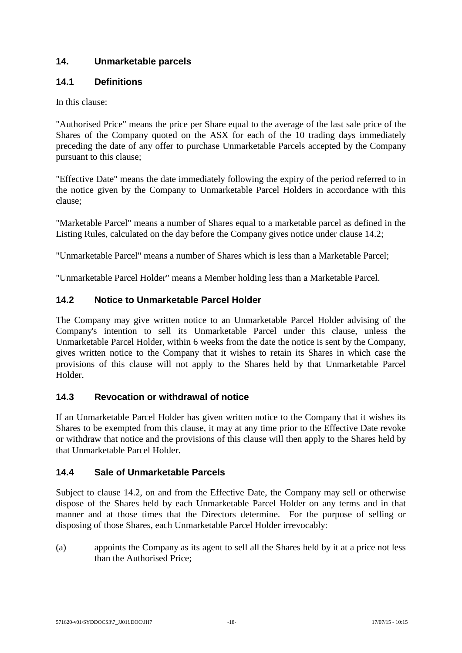# <span id="page-24-2"></span>**14. Unmarketable parcels**

# **14.1 Definitions**

In this clause:

"Authorised Price" means the price per Share equal to the average of the last sale price of the Shares of the Company quoted on the ASX for each of the 10 trading days immediately preceding the date of any offer to purchase Unmarketable Parcels accepted by the Company pursuant to this clause;

"Effective Date" means the date immediately following the expiry of the period referred to in the notice given by the Company to Unmarketable Parcel Holders in accordance with this clause;

"Marketable Parcel" means a number of Shares equal to a marketable parcel as defined in the Listing Rules, calculated on the day before the Company gives notice under clause [14.2;](#page-24-0)

"Unmarketable Parcel" means a number of Shares which is less than a Marketable Parcel;

"Unmarketable Parcel Holder" means a Member holding less than a Marketable Parcel.

# <span id="page-24-0"></span>**14.2 Notice to Unmarketable Parcel Holder**

The Company may give written notice to an Unmarketable Parcel Holder advising of the Company's intention to sell its Unmarketable Parcel under this clause, unless the Unmarketable Parcel Holder, within 6 weeks from the date the notice is sent by the Company, gives written notice to the Company that it wishes to retain its Shares in which case the provisions of this clause will not apply to the Shares held by that Unmarketable Parcel Holder.

# **14.3 Revocation or withdrawal of notice**

If an Unmarketable Parcel Holder has given written notice to the Company that it wishes its Shares to be exempted from this clause, it may at any time prior to the Effective Date revoke or withdraw that notice and the provisions of this clause will then apply to the Shares held by that Unmarketable Parcel Holder.

# <span id="page-24-1"></span>**14.4 Sale of Unmarketable Parcels**

Subject to clause [14.2,](#page-24-0) on and from the Effective Date, the Company may sell or otherwise dispose of the Shares held by each Unmarketable Parcel Holder on any terms and in that manner and at those times that the Directors determine. For the purpose of selling or disposing of those Shares, each Unmarketable Parcel Holder irrevocably:

(a) appoints the Company as its agent to sell all the Shares held by it at a price not less than the Authorised Price;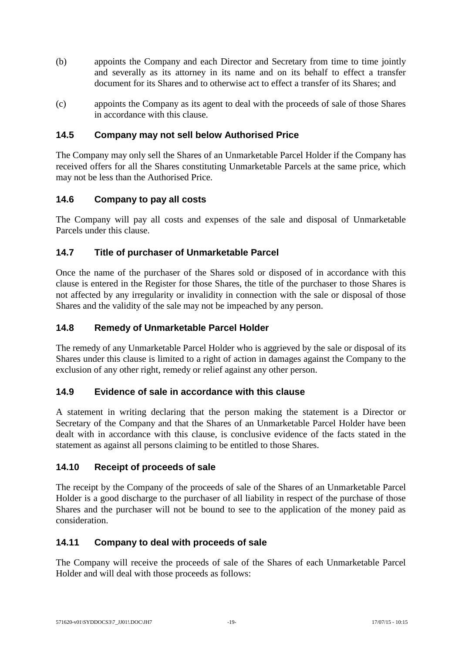- (b) appoints the Company and each Director and Secretary from time to time jointly and severally as its attorney in its name and on its behalf to effect a transfer document for its Shares and to otherwise act to effect a transfer of its Shares; and
- (c) appoints the Company as its agent to deal with the proceeds of sale of those Shares in accordance with this clause.

# **14.5 Company may not sell below Authorised Price**

The Company may only sell the Shares of an Unmarketable Parcel Holder if the Company has received offers for all the Shares constituting Unmarketable Parcels at the same price, which may not be less than the Authorised Price.

# **14.6 Company to pay all costs**

The Company will pay all costs and expenses of the sale and disposal of Unmarketable Parcels under this clause.

# **14.7 Title of purchaser of Unmarketable Parcel**

Once the name of the purchaser of the Shares sold or disposed of in accordance with this clause is entered in the Register for those Shares, the title of the purchaser to those Shares is not affected by any irregularity or invalidity in connection with the sale or disposal of those Shares and the validity of the sale may not be impeached by any person.

# **14.8 Remedy of Unmarketable Parcel Holder**

The remedy of any Unmarketable Parcel Holder who is aggrieved by the sale or disposal of its Shares under this clause is limited to a right of action in damages against the Company to the exclusion of any other right, remedy or relief against any other person.

# **14.9 Evidence of sale in accordance with this clause**

A statement in writing declaring that the person making the statement is a Director or Secretary of the Company and that the Shares of an Unmarketable Parcel Holder have been dealt with in accordance with this clause, is conclusive evidence of the facts stated in the statement as against all persons claiming to be entitled to those Shares.

# **14.10 Receipt of proceeds of sale**

The receipt by the Company of the proceeds of sale of the Shares of an Unmarketable Parcel Holder is a good discharge to the purchaser of all liability in respect of the purchase of those Shares and the purchaser will not be bound to see to the application of the money paid as consideration.

# **14.11 Company to deal with proceeds of sale**

The Company will receive the proceeds of sale of the Shares of each Unmarketable Parcel Holder and will deal with those proceeds as follows: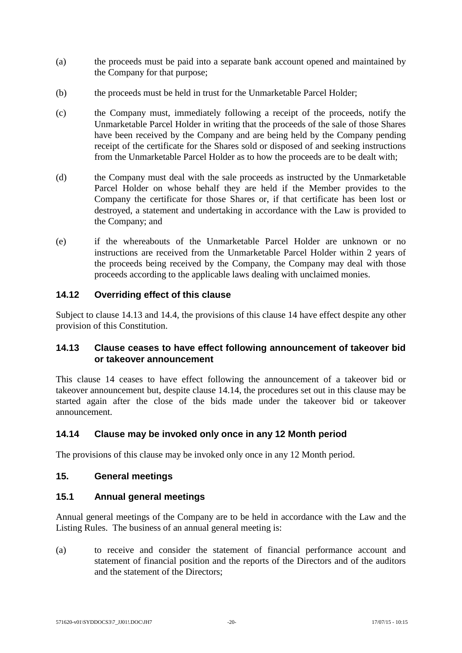- (a) the proceeds must be paid into a separate bank account opened and maintained by the Company for that purpose;
- (b) the proceeds must be held in trust for the Unmarketable Parcel Holder;
- (c) the Company must, immediately following a receipt of the proceeds, notify the Unmarketable Parcel Holder in writing that the proceeds of the sale of those Shares have been received by the Company and are being held by the Company pending receipt of the certificate for the Shares sold or disposed of and seeking instructions from the Unmarketable Parcel Holder as to how the proceeds are to be dealt with;
- (d) the Company must deal with the sale proceeds as instructed by the Unmarketable Parcel Holder on whose behalf they are held if the Member provides to the Company the certificate for those Shares or, if that certificate has been lost or destroyed, a statement and undertaking in accordance with the Law is provided to the Company; and
- (e) if the whereabouts of the Unmarketable Parcel Holder are unknown or no instructions are received from the Unmarketable Parcel Holder within 2 years of the proceeds being received by the Company, the Company may deal with those proceeds according to the applicable laws dealing with unclaimed monies.

# **14.12 Overriding effect of this clause**

Subject to clause [14.13](#page-26-0) and [14.4,](#page-24-1) the provisions of this clause [14](#page-24-2) have effect despite any other provision of this Constitution.

# <span id="page-26-0"></span>**14.13 Clause ceases to have effect following announcement of takeover bid or takeover announcement**

This clause [14](#page-24-2) ceases to have effect following the announcement of a takeover bid or takeover announcement but, despite clause [14.14,](#page-26-1) the procedures set out in this clause may be started again after the close of the bids made under the takeover bid or takeover announcement.

# <span id="page-26-1"></span>**14.14 Clause may be invoked only once in any 12 Month period**

The provisions of this clause may be invoked only once in any 12 Month period.

#### **15. General meetings**

#### **15.1 Annual general meetings**

Annual general meetings of the Company are to be held in accordance with the Law and the Listing Rules. The business of an annual general meeting is:

(a) to receive and consider the statement of financial performance account and statement of financial position and the reports of the Directors and of the auditors and the statement of the Directors;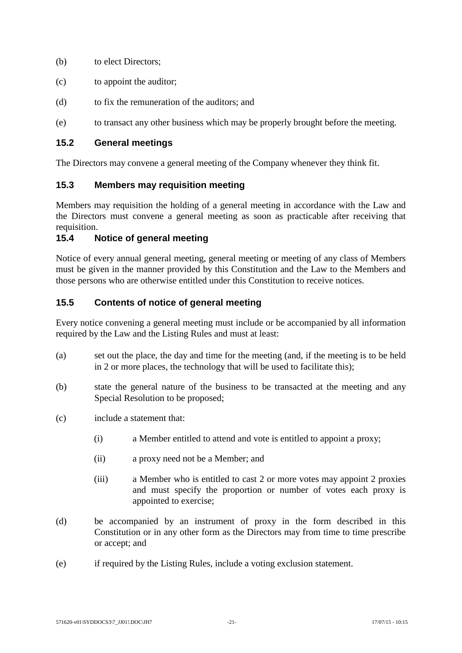- (b) to elect Directors;
- (c) to appoint the auditor;
- (d) to fix the remuneration of the auditors; and
- (e) to transact any other business which may be properly brought before the meeting.

### **15.2 General meetings**

The Directors may convene a general meeting of the Company whenever they think fit.

#### **15.3 Members may requisition meeting**

Members may requisition the holding of a general meeting in accordance with the Law and the Directors must convene a general meeting as soon as practicable after receiving that requisition.

# **15.4 Notice of general meeting**

Notice of every annual general meeting, general meeting or meeting of any class of Members must be given in the manner provided by this Constitution and the Law to the Members and those persons who are otherwise entitled under this Constitution to receive notices.

# **15.5 Contents of notice of general meeting**

Every notice convening a general meeting must include or be accompanied by all information required by the Law and the Listing Rules and must at least:

- (a) set out the place, the day and time for the meeting (and, if the meeting is to be held in 2 or more places, the technology that will be used to facilitate this);
- (b) state the general nature of the business to be transacted at the meeting and any Special Resolution to be proposed;
- (c) include a statement that:
	- (i) a Member entitled to attend and vote is entitled to appoint a proxy;
	- (ii) a proxy need not be a Member; and
	- (iii) a Member who is entitled to cast 2 or more votes may appoint 2 proxies and must specify the proportion or number of votes each proxy is appointed to exercise;
- (d) be accompanied by an instrument of proxy in the form described in this Constitution or in any other form as the Directors may from time to time prescribe or accept; and
- (e) if required by the Listing Rules, include a voting exclusion statement.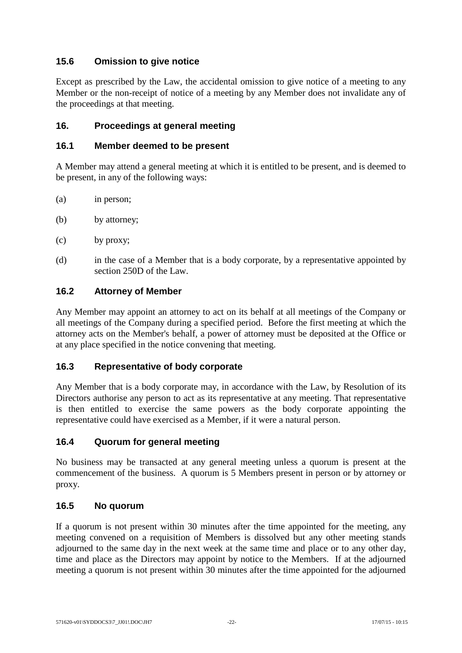# **15.6 Omission to give notice**

Except as prescribed by the Law, the accidental omission to give notice of a meeting to any Member or the non-receipt of notice of a meeting by any Member does not invalidate any of the proceedings at that meeting.

# **16. Proceedings at general meeting**

### **16.1 Member deemed to be present**

A Member may attend a general meeting at which it is entitled to be present, and is deemed to be present, in any of the following ways:

- (a) in person;
- (b) by attorney;
- (c) by proxy;
- (d) in the case of a Member that is a body corporate, by a representative appointed by section 250D of the Law.

#### **16.2 Attorney of Member**

Any Member may appoint an attorney to act on its behalf at all meetings of the Company or all meetings of the Company during a specified period. Before the first meeting at which the attorney acts on the Member's behalf, a power of attorney must be deposited at the Office or at any place specified in the notice convening that meeting.

# **16.3 Representative of body corporate**

Any Member that is a body corporate may, in accordance with the Law, by Resolution of its Directors authorise any person to act as its representative at any meeting. That representative is then entitled to exercise the same powers as the body corporate appointing the representative could have exercised as a Member, if it were a natural person.

# **16.4 Quorum for general meeting**

No business may be transacted at any general meeting unless a quorum is present at the commencement of the business. A quorum is 5 Members present in person or by attorney or proxy.

#### **16.5 No quorum**

If a quorum is not present within 30 minutes after the time appointed for the meeting, any meeting convened on a requisition of Members is dissolved but any other meeting stands adjourned to the same day in the next week at the same time and place or to any other day, time and place as the Directors may appoint by notice to the Members. If at the adjourned meeting a quorum is not present within 30 minutes after the time appointed for the adjourned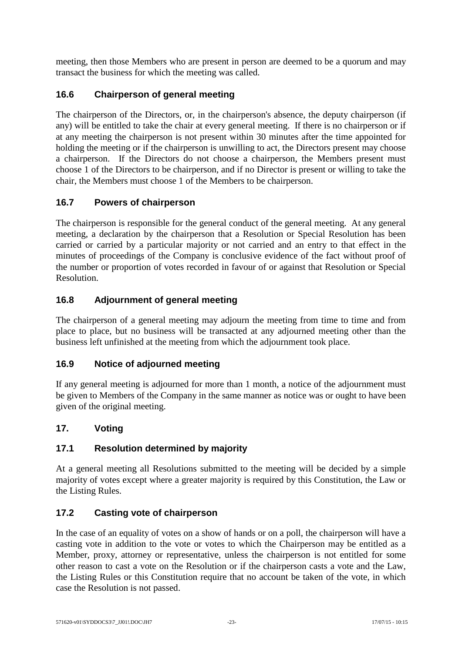meeting, then those Members who are present in person are deemed to be a quorum and may transact the business for which the meeting was called.

# **16.6 Chairperson of general meeting**

The chairperson of the Directors, or, in the chairperson's absence, the deputy chairperson (if any) will be entitled to take the chair at every general meeting. If there is no chairperson or if at any meeting the chairperson is not present within 30 minutes after the time appointed for holding the meeting or if the chairperson is unwilling to act, the Directors present may choose a chairperson. If the Directors do not choose a chairperson, the Members present must choose 1 of the Directors to be chairperson, and if no Director is present or willing to take the chair, the Members must choose 1 of the Members to be chairperson.

# **16.7 Powers of chairperson**

The chairperson is responsible for the general conduct of the general meeting. At any general meeting, a declaration by the chairperson that a Resolution or Special Resolution has been carried or carried by a particular majority or not carried and an entry to that effect in the minutes of proceedings of the Company is conclusive evidence of the fact without proof of the number or proportion of votes recorded in favour of or against that Resolution or Special Resolution.

# **16.8 Adjournment of general meeting**

The chairperson of a general meeting may adjourn the meeting from time to time and from place to place, but no business will be transacted at any adjourned meeting other than the business left unfinished at the meeting from which the adjournment took place.

# **16.9 Notice of adjourned meeting**

If any general meeting is adjourned for more than 1 month, a notice of the adjournment must be given to Members of the Company in the same manner as notice was or ought to have been given of the original meeting.

# **17. Voting**

# **17.1 Resolution determined by majority**

At a general meeting all Resolutions submitted to the meeting will be decided by a simple majority of votes except where a greater majority is required by this Constitution, the Law or the Listing Rules.

# **17.2 Casting vote of chairperson**

In the case of an equality of votes on a show of hands or on a poll, the chairperson will have a casting vote in addition to the vote or votes to which the Chairperson may be entitled as a Member, proxy, attorney or representative, unless the chairperson is not entitled for some other reason to cast a vote on the Resolution or if the chairperson casts a vote and the Law, the Listing Rules or this Constitution require that no account be taken of the vote, in which case the Resolution is not passed.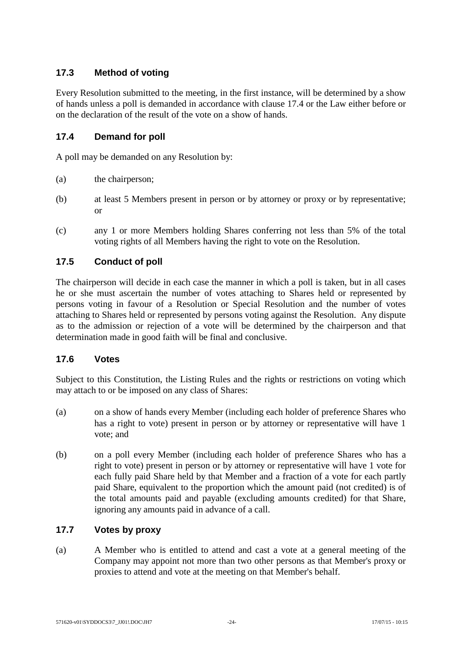# **17.3 Method of voting**

Every Resolution submitted to the meeting, in the first instance, will be determined by a show of hands unless a poll is demanded in accordance with clause [17.4](#page-30-0) or the Law either before or on the declaration of the result of the vote on a show of hands.

# <span id="page-30-0"></span>**17.4 Demand for poll**

A poll may be demanded on any Resolution by:

- (a) the chairperson;
- (b) at least 5 Members present in person or by attorney or proxy or by representative; or
- (c) any 1 or more Members holding Shares conferring not less than 5% of the total voting rights of all Members having the right to vote on the Resolution.

# **17.5 Conduct of poll**

The chairperson will decide in each case the manner in which a poll is taken, but in all cases he or she must ascertain the number of votes attaching to Shares held or represented by persons voting in favour of a Resolution or Special Resolution and the number of votes attaching to Shares held or represented by persons voting against the Resolution. Any dispute as to the admission or rejection of a vote will be determined by the chairperson and that determination made in good faith will be final and conclusive.

# **17.6 Votes**

Subject to this Constitution, the Listing Rules and the rights or restrictions on voting which may attach to or be imposed on any class of Shares:

- (a) on a show of hands every Member (including each holder of preference Shares who has a right to vote) present in person or by attorney or representative will have 1 vote; and
- (b) on a poll every Member (including each holder of preference Shares who has a right to vote) present in person or by attorney or representative will have 1 vote for each fully paid Share held by that Member and a fraction of a vote for each partly paid Share, equivalent to the proportion which the amount paid (not credited) is of the total amounts paid and payable (excluding amounts credited) for that Share, ignoring any amounts paid in advance of a call.

# **17.7 Votes by proxy**

(a) A Member who is entitled to attend and cast a vote at a general meeting of the Company may appoint not more than two other persons as that Member's proxy or proxies to attend and vote at the meeting on that Member's behalf.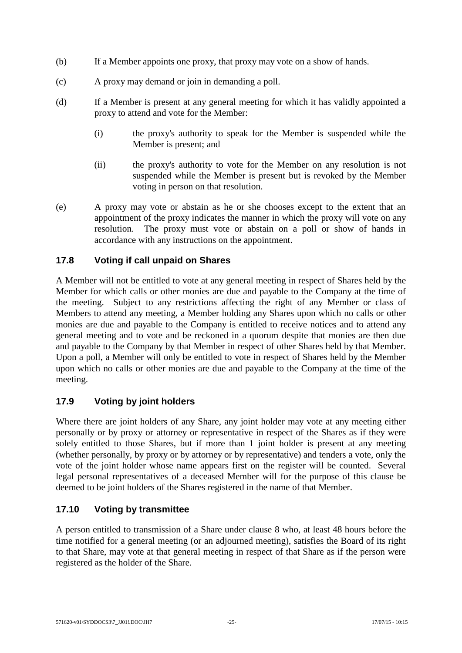- (b) If a Member appoints one proxy, that proxy may vote on a show of hands.
- (c) A proxy may demand or join in demanding a poll.
- (d) If a Member is present at any general meeting for which it has validly appointed a proxy to attend and vote for the Member:
	- (i) the proxy's authority to speak for the Member is suspended while the Member is present; and
	- (ii) the proxy's authority to vote for the Member on any resolution is not suspended while the Member is present but is revoked by the Member voting in person on that resolution.
- (e) A proxy may vote or abstain as he or she chooses except to the extent that an appointment of the proxy indicates the manner in which the proxy will vote on any resolution. The proxy must vote or abstain on a poll or show of hands in accordance with any instructions on the appointment.

# **17.8 Voting if call unpaid on Shares**

A Member will not be entitled to vote at any general meeting in respect of Shares held by the Member for which calls or other monies are due and payable to the Company at the time of the meeting. Subject to any restrictions affecting the right of any Member or class of Members to attend any meeting, a Member holding any Shares upon which no calls or other monies are due and payable to the Company is entitled to receive notices and to attend any general meeting and to vote and be reckoned in a quorum despite that monies are then due and payable to the Company by that Member in respect of other Shares held by that Member. Upon a poll, a Member will only be entitled to vote in respect of Shares held by the Member upon which no calls or other monies are due and payable to the Company at the time of the meeting.

# **17.9 Voting by joint holders**

Where there are joint holders of any Share, any joint holder may vote at any meeting either personally or by proxy or attorney or representative in respect of the Shares as if they were solely entitled to those Shares, but if more than 1 joint holder is present at any meeting (whether personally, by proxy or by attorney or by representative) and tenders a vote, only the vote of the joint holder whose name appears first on the register will be counted. Several legal personal representatives of a deceased Member will for the purpose of this clause be deemed to be joint holders of the Shares registered in the name of that Member.

# **17.10 Voting by transmittee**

A person entitled to transmission of a Share under clause [8](#page-18-0) who, at least 48 hours before the time notified for a general meeting (or an adjourned meeting), satisfies the Board of its right to that Share, may vote at that general meeting in respect of that Share as if the person were registered as the holder of the Share.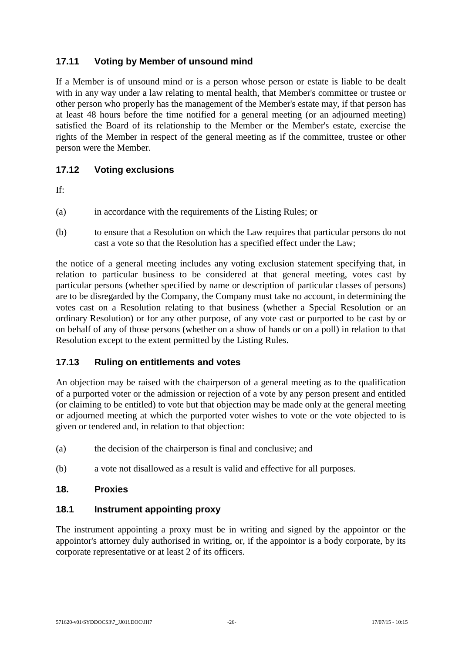# **17.11 Voting by Member of unsound mind**

If a Member is of unsound mind or is a person whose person or estate is liable to be dealt with in any way under a law relating to mental health, that Member's committee or trustee or other person who properly has the management of the Member's estate may, if that person has at least 48 hours before the time notified for a general meeting (or an adjourned meeting) satisfied the Board of its relationship to the Member or the Member's estate, exercise the rights of the Member in respect of the general meeting as if the committee, trustee or other person were the Member.

# **17.12 Voting exclusions**

If:

- (a) in accordance with the requirements of the Listing Rules; or
- (b) to ensure that a Resolution on which the Law requires that particular persons do not cast a vote so that the Resolution has a specified effect under the Law;

the notice of a general meeting includes any voting exclusion statement specifying that, in relation to particular business to be considered at that general meeting, votes cast by particular persons (whether specified by name or description of particular classes of persons) are to be disregarded by the Company, the Company must take no account, in determining the votes cast on a Resolution relating to that business (whether a Special Resolution or an ordinary Resolution) or for any other purpose, of any vote cast or purported to be cast by or on behalf of any of those persons (whether on a show of hands or on a poll) in relation to that Resolution except to the extent permitted by the Listing Rules.

# **17.13 Ruling on entitlements and votes**

An objection may be raised with the chairperson of a general meeting as to the qualification of a purported voter or the admission or rejection of a vote by any person present and entitled (or claiming to be entitled) to vote but that objection may be made only at the general meeting or adjourned meeting at which the purported voter wishes to vote or the vote objected to is given or tendered and, in relation to that objection:

- (a) the decision of the chairperson is final and conclusive; and
- (b) a vote not disallowed as a result is valid and effective for all purposes.

#### **18. Proxies**

#### **18.1 Instrument appointing proxy**

The instrument appointing a proxy must be in writing and signed by the appointor or the appointor's attorney duly authorised in writing, or, if the appointor is a body corporate, by its corporate representative or at least 2 of its officers.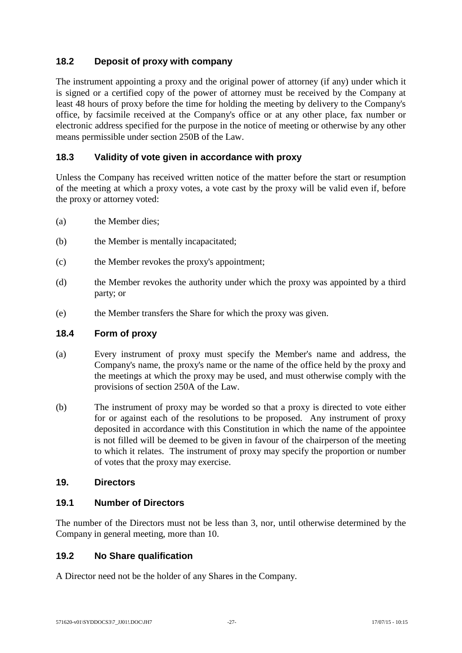# **18.2 Deposit of proxy with company**

The instrument appointing a proxy and the original power of attorney (if any) under which it is signed or a certified copy of the power of attorney must be received by the Company at least 48 hours of proxy before the time for holding the meeting by delivery to the Company's office, by facsimile received at the Company's office or at any other place, fax number or electronic address specified for the purpose in the notice of meeting or otherwise by any other means permissible under section 250B of the Law.

# **18.3 Validity of vote given in accordance with proxy**

Unless the Company has received written notice of the matter before the start or resumption of the meeting at which a proxy votes, a vote cast by the proxy will be valid even if, before the proxy or attorney voted:

- (a) the Member dies;
- (b) the Member is mentally incapacitated;
- (c) the Member revokes the proxy's appointment;
- (d) the Member revokes the authority under which the proxy was appointed by a third party; or
- (e) the Member transfers the Share for which the proxy was given.

#### **18.4 Form of proxy**

- (a) Every instrument of proxy must specify the Member's name and address, the Company's name, the proxy's name or the name of the office held by the proxy and the meetings at which the proxy may be used, and must otherwise comply with the provisions of section 250A of the Law.
- (b) The instrument of proxy may be worded so that a proxy is directed to vote either for or against each of the resolutions to be proposed. Any instrument of proxy deposited in accordance with this Constitution in which the name of the appointee is not filled will be deemed to be given in favour of the chairperson of the meeting to which it relates. The instrument of proxy may specify the proportion or number of votes that the proxy may exercise.

#### **19. Directors**

#### **19.1 Number of Directors**

The number of the Directors must not be less than 3, nor, until otherwise determined by the Company in general meeting, more than 10.

# **19.2 No Share qualification**

A Director need not be the holder of any Shares in the Company.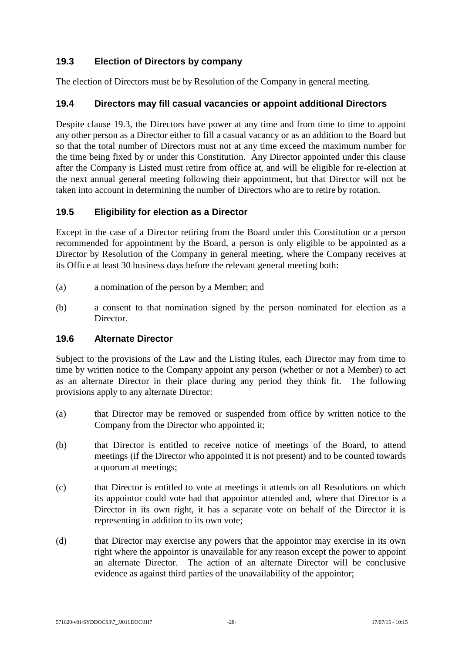# <span id="page-34-0"></span>**19.3 Election of Directors by company**

The election of Directors must be by Resolution of the Company in general meeting.

# **19.4 Directors may fill casual vacancies or appoint additional Directors**

Despite clause [19.3,](#page-34-0) the Directors have power at any time and from time to time to appoint any other person as a Director either to fill a casual vacancy or as an addition to the Board but so that the total number of Directors must not at any time exceed the maximum number for the time being fixed by or under this Constitution. Any Director appointed under this clause after the Company is Listed must retire from office at, and will be eligible for re-election at the next annual general meeting following their appointment, but that Director will not be taken into account in determining the number of Directors who are to retire by rotation.

# **19.5 Eligibility for election as a Director**

Except in the case of a Director retiring from the Board under this Constitution or a person recommended for appointment by the Board, a person is only eligible to be appointed as a Director by Resolution of the Company in general meeting, where the Company receives at its Office at least 30 business days before the relevant general meeting both:

- (a) a nomination of the person by a Member; and
- (b) a consent to that nomination signed by the person nominated for election as a Director.

# **19.6 Alternate Director**

Subject to the provisions of the Law and the Listing Rules, each Director may from time to time by written notice to the Company appoint any person (whether or not a Member) to act as an alternate Director in their place during any period they think fit. The following provisions apply to any alternate Director:

- (a) that Director may be removed or suspended from office by written notice to the Company from the Director who appointed it;
- (b) that Director is entitled to receive notice of meetings of the Board, to attend meetings (if the Director who appointed it is not present) and to be counted towards a quorum at meetings;
- (c) that Director is entitled to vote at meetings it attends on all Resolutions on which its appointor could vote had that appointor attended and, where that Director is a Director in its own right, it has a separate vote on behalf of the Director it is representing in addition to its own vote;
- (d) that Director may exercise any powers that the appointor may exercise in its own right where the appointor is unavailable for any reason except the power to appoint an alternate Director. The action of an alternate Director will be conclusive evidence as against third parties of the unavailability of the appointor;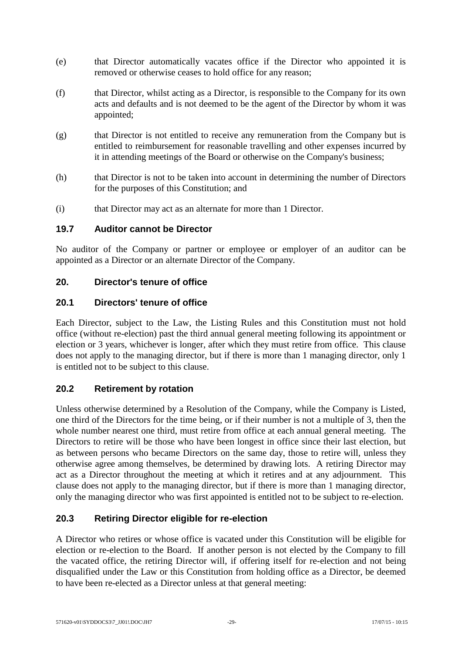- (e) that Director automatically vacates office if the Director who appointed it is removed or otherwise ceases to hold office for any reason;
- (f) that Director, whilst acting as a Director, is responsible to the Company for its own acts and defaults and is not deemed to be the agent of the Director by whom it was appointed;
- (g) that Director is not entitled to receive any remuneration from the Company but is entitled to reimbursement for reasonable travelling and other expenses incurred by it in attending meetings of the Board or otherwise on the Company's business;
- (h) that Director is not to be taken into account in determining the number of Directors for the purposes of this Constitution; and
- (i) that Director may act as an alternate for more than 1 Director.

#### **19.7 Auditor cannot be Director**

No auditor of the Company or partner or employee or employer of an auditor can be appointed as a Director or an alternate Director of the Company.

# **20. Director's tenure of office**

#### **20.1 Directors' tenure of office**

Each Director, subject to the Law, the Listing Rules and this Constitution must not hold office (without re-election) past the third annual general meeting following its appointment or election or 3 years, whichever is longer, after which they must retire from office. This clause does not apply to the managing director, but if there is more than 1 managing director, only 1 is entitled not to be subject to this clause.

# **20.2 Retirement by rotation**

Unless otherwise determined by a Resolution of the Company, while the Company is Listed, one third of the Directors for the time being, or if their number is not a multiple of 3, then the whole number nearest one third, must retire from office at each annual general meeting. The Directors to retire will be those who have been longest in office since their last election, but as between persons who became Directors on the same day, those to retire will, unless they otherwise agree among themselves, be determined by drawing lots. A retiring Director may act as a Director throughout the meeting at which it retires and at any adjournment. This clause does not apply to the managing director, but if there is more than 1 managing director, only the managing director who was first appointed is entitled not to be subject to re-election.

# **20.3 Retiring Director eligible for re-election**

A Director who retires or whose office is vacated under this Constitution will be eligible for election or re-election to the Board. If another person is not elected by the Company to fill the vacated office, the retiring Director will, if offering itself for re-election and not being disqualified under the Law or this Constitution from holding office as a Director, be deemed to have been re-elected as a Director unless at that general meeting: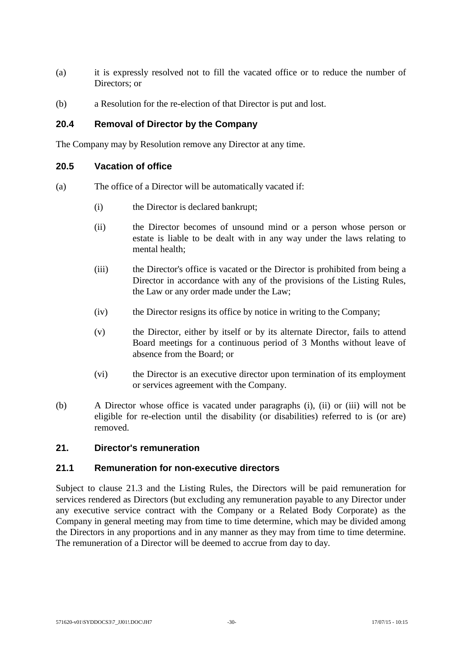- (a) it is expressly resolved not to fill the vacated office or to reduce the number of Directors; or
- (b) a Resolution for the re-election of that Director is put and lost.

# **20.4 Removal of Director by the Company**

The Company may by Resolution remove any Director at any time.

#### **20.5 Vacation of office**

- (a) The office of a Director will be automatically vacated if:
	- (i) the Director is declared bankrupt;
	- (ii) the Director becomes of unsound mind or a person whose person or estate is liable to be dealt with in any way under the laws relating to mental health;
	- (iii) the Director's office is vacated or the Director is prohibited from being a Director in accordance with any of the provisions of the Listing Rules, the Law or any order made under the Law;
	- (iv) the Director resigns its office by notice in writing to the Company;
	- (v) the Director, either by itself or by its alternate Director, fails to attend Board meetings for a continuous period of 3 Months without leave of absence from the Board; or
	- (vi) the Director is an executive director upon termination of its employment or services agreement with the Company.
- (b) A Director whose office is vacated under paragraphs (i), (ii) or (iii) will not be eligible for re-election until the disability (or disabilities) referred to is (or are) removed.

# **21. Director's remuneration**

#### **21.1 Remuneration for non-executive directors**

Subject to clause [21.3](#page-37-0) and the Listing Rules, the Directors will be paid remuneration for services rendered as Directors (but excluding any remuneration payable to any Director under any executive service contract with the Company or a Related Body Corporate) as the Company in general meeting may from time to time determine, which may be divided among the Directors in any proportions and in any manner as they may from time to time determine. The remuneration of a Director will be deemed to accrue from day to day.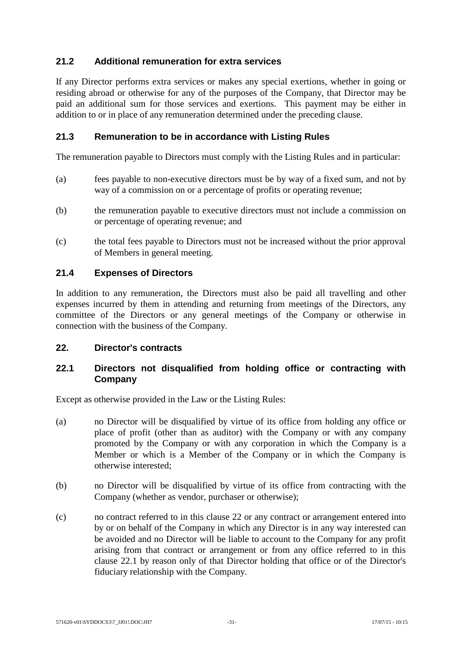# **21.2 Additional remuneration for extra services**

If any Director performs extra services or makes any special exertions, whether in going or residing abroad or otherwise for any of the purposes of the Company, that Director may be paid an additional sum for those services and exertions. This payment may be either in addition to or in place of any remuneration determined under the preceding clause.

# <span id="page-37-0"></span>**21.3 Remuneration to be in accordance with Listing Rules**

The remuneration payable to Directors must comply with the Listing Rules and in particular:

- (a) fees payable to non-executive directors must be by way of a fixed sum, and not by way of a commission on or a percentage of profits or operating revenue;
- (b) the remuneration payable to executive directors must not include a commission on or percentage of operating revenue; and
- (c) the total fees payable to Directors must not be increased without the prior approval of Members in general meeting.

#### **21.4 Expenses of Directors**

In addition to any remuneration, the Directors must also be paid all travelling and other expenses incurred by them in attending and returning from meetings of the Directors, any committee of the Directors or any general meetings of the Company or otherwise in connection with the business of the Company.

#### <span id="page-37-1"></span>**22. Director's contracts**

# <span id="page-37-2"></span>**22.1 Directors not disqualified from holding office or contracting with Company**

Except as otherwise provided in the Law or the Listing Rules:

- (a) no Director will be disqualified by virtue of its office from holding any office or place of profit (other than as auditor) with the Company or with any company promoted by the Company or with any corporation in which the Company is a Member or which is a Member of the Company or in which the Company is otherwise interested;
- (b) no Director will be disqualified by virtue of its office from contracting with the Company (whether as vendor, purchaser or otherwise);
- (c) no contract referred to in this clause [22](#page-37-1) or any contract or arrangement entered into by or on behalf of the Company in which any Director is in any way interested can be avoided and no Director will be liable to account to the Company for any profit arising from that contract or arrangement or from any office referred to in this clause [22.1](#page-37-2) by reason only of that Director holding that office or of the Director's fiduciary relationship with the Company.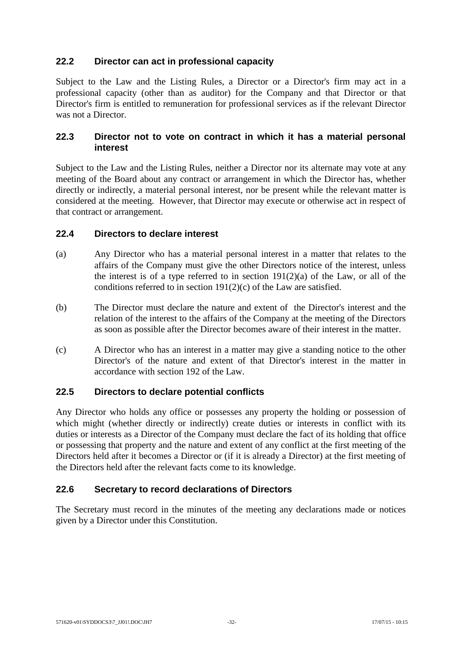# **22.2 Director can act in professional capacity**

Subject to the Law and the Listing Rules, a Director or a Director's firm may act in a professional capacity (other than as auditor) for the Company and that Director or that Director's firm is entitled to remuneration for professional services as if the relevant Director was not a Director.

# **22.3 Director not to vote on contract in which it has a material personal interest**

Subject to the Law and the Listing Rules, neither a Director nor its alternate may vote at any meeting of the Board about any contract or arrangement in which the Director has, whether directly or indirectly, a material personal interest, nor be present while the relevant matter is considered at the meeting. However, that Director may execute or otherwise act in respect of that contract or arrangement.

# **22.4 Directors to declare interest**

- (a) Any Director who has a material personal interest in a matter that relates to the affairs of the Company must give the other Directors notice of the interest, unless the interest is of a type referred to in section  $191(2)(a)$  of the Law, or all of the conditions referred to in section 191(2)(c) of the Law are satisfied.
- (b) The Director must declare the nature and extent of the Director's interest and the relation of the interest to the affairs of the Company at the meeting of the Directors as soon as possible after the Director becomes aware of their interest in the matter.
- (c) A Director who has an interest in a matter may give a standing notice to the other Director's of the nature and extent of that Director's interest in the matter in accordance with section 192 of the Law.

# **22.5 Directors to declare potential conflicts**

Any Director who holds any office or possesses any property the holding or possession of which might (whether directly or indirectly) create duties or interests in conflict with its duties or interests as a Director of the Company must declare the fact of its holding that office or possessing that property and the nature and extent of any conflict at the first meeting of the Directors held after it becomes a Director or (if it is already a Director) at the first meeting of the Directors held after the relevant facts come to its knowledge.

# **22.6 Secretary to record declarations of Directors**

The Secretary must record in the minutes of the meeting any declarations made or notices given by a Director under this Constitution.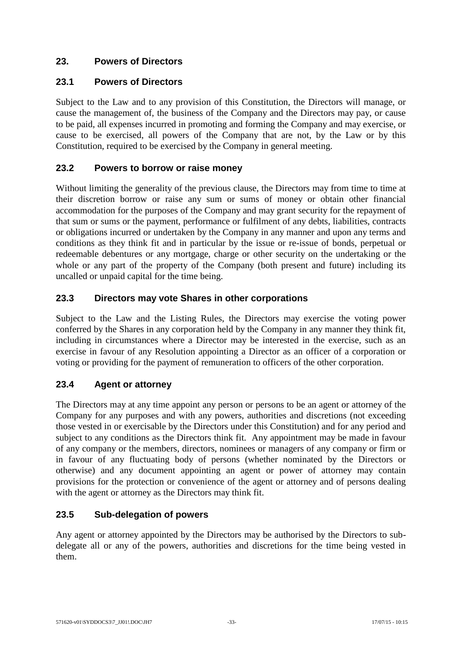# **23. Powers of Directors**

# **23.1 Powers of Directors**

Subject to the Law and to any provision of this Constitution, the Directors will manage, or cause the management of, the business of the Company and the Directors may pay, or cause to be paid, all expenses incurred in promoting and forming the Company and may exercise, or cause to be exercised, all powers of the Company that are not, by the Law or by this Constitution, required to be exercised by the Company in general meeting.

# **23.2 Powers to borrow or raise money**

Without limiting the generality of the previous clause, the Directors may from time to time at their discretion borrow or raise any sum or sums of money or obtain other financial accommodation for the purposes of the Company and may grant security for the repayment of that sum or sums or the payment, performance or fulfilment of any debts, liabilities, contracts or obligations incurred or undertaken by the Company in any manner and upon any terms and conditions as they think fit and in particular by the issue or re-issue of bonds, perpetual or redeemable debentures or any mortgage, charge or other security on the undertaking or the whole or any part of the property of the Company (both present and future) including its uncalled or unpaid capital for the time being.

# **23.3 Directors may vote Shares in other corporations**

Subject to the Law and the Listing Rules, the Directors may exercise the voting power conferred by the Shares in any corporation held by the Company in any manner they think fit, including in circumstances where a Director may be interested in the exercise, such as an exercise in favour of any Resolution appointing a Director as an officer of a corporation or voting or providing for the payment of remuneration to officers of the other corporation.

# **23.4 Agent or attorney**

The Directors may at any time appoint any person or persons to be an agent or attorney of the Company for any purposes and with any powers, authorities and discretions (not exceeding those vested in or exercisable by the Directors under this Constitution) and for any period and subject to any conditions as the Directors think fit. Any appointment may be made in favour of any company or the members, directors, nominees or managers of any company or firm or in favour of any fluctuating body of persons (whether nominated by the Directors or otherwise) and any document appointing an agent or power of attorney may contain provisions for the protection or convenience of the agent or attorney and of persons dealing with the agent or attorney as the Directors may think fit.

# **23.5 Sub-delegation of powers**

Any agent or attorney appointed by the Directors may be authorised by the Directors to subdelegate all or any of the powers, authorities and discretions for the time being vested in them.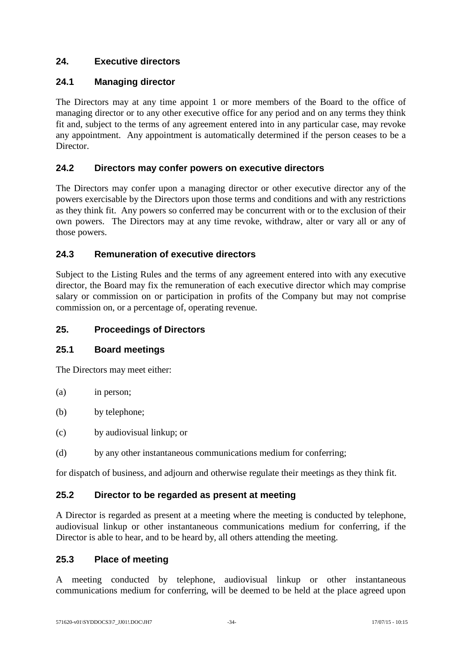# **24. Executive directors**

# **24.1 Managing director**

The Directors may at any time appoint 1 or more members of the Board to the office of managing director or to any other executive office for any period and on any terms they think fit and, subject to the terms of any agreement entered into in any particular case, may revoke any appointment. Any appointment is automatically determined if the person ceases to be a Director.

# **24.2 Directors may confer powers on executive directors**

The Directors may confer upon a managing director or other executive director any of the powers exercisable by the Directors upon those terms and conditions and with any restrictions as they think fit. Any powers so conferred may be concurrent with or to the exclusion of their own powers. The Directors may at any time revoke, withdraw, alter or vary all or any of those powers.

# **24.3 Remuneration of executive directors**

Subject to the Listing Rules and the terms of any agreement entered into with any executive director, the Board may fix the remuneration of each executive director which may comprise salary or commission on or participation in profits of the Company but may not comprise commission on, or a percentage of, operating revenue.

# **25. Proceedings of Directors**

# **25.1 Board meetings**

The Directors may meet either:

- (a) in person;
- (b) by telephone;
- (c) by audiovisual linkup; or
- (d) by any other instantaneous communications medium for conferring;

for dispatch of business, and adjourn and otherwise regulate their meetings as they think fit.

# **25.2 Director to be regarded as present at meeting**

A Director is regarded as present at a meeting where the meeting is conducted by telephone, audiovisual linkup or other instantaneous communications medium for conferring, if the Director is able to hear, and to be heard by, all others attending the meeting.

# **25.3 Place of meeting**

A meeting conducted by telephone, audiovisual linkup or other instantaneous communications medium for conferring, will be deemed to be held at the place agreed upon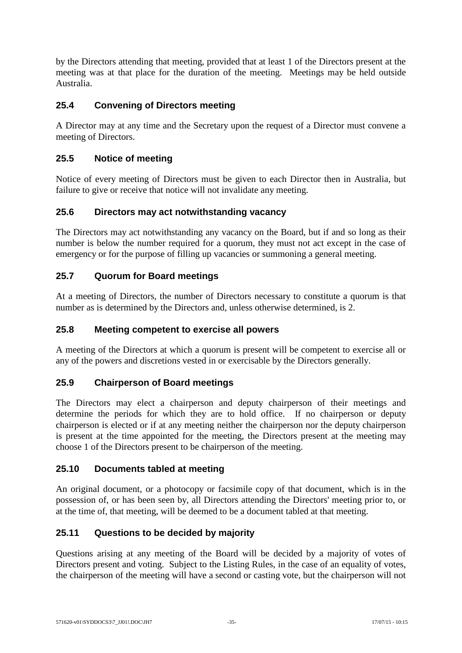by the Directors attending that meeting, provided that at least 1 of the Directors present at the meeting was at that place for the duration of the meeting. Meetings may be held outside Australia.

# **25.4 Convening of Directors meeting**

A Director may at any time and the Secretary upon the request of a Director must convene a meeting of Directors.

# **25.5 Notice of meeting**

Notice of every meeting of Directors must be given to each Director then in Australia, but failure to give or receive that notice will not invalidate any meeting.

# **25.6 Directors may act notwithstanding vacancy**

The Directors may act notwithstanding any vacancy on the Board, but if and so long as their number is below the number required for a quorum, they must not act except in the case of emergency or for the purpose of filling up vacancies or summoning a general meeting.

# **25.7 Quorum for Board meetings**

At a meeting of Directors, the number of Directors necessary to constitute a quorum is that number as is determined by the Directors and, unless otherwise determined, is 2.

### **25.8 Meeting competent to exercise all powers**

A meeting of the Directors at which a quorum is present will be competent to exercise all or any of the powers and discretions vested in or exercisable by the Directors generally.

# **25.9 Chairperson of Board meetings**

The Directors may elect a chairperson and deputy chairperson of their meetings and determine the periods for which they are to hold office. If no chairperson or deputy chairperson is elected or if at any meeting neither the chairperson nor the deputy chairperson is present at the time appointed for the meeting, the Directors present at the meeting may choose 1 of the Directors present to be chairperson of the meeting.

# **25.10 Documents tabled at meeting**

An original document, or a photocopy or facsimile copy of that document, which is in the possession of, or has been seen by, all Directors attending the Directors' meeting prior to, or at the time of, that meeting, will be deemed to be a document tabled at that meeting.

# **25.11 Questions to be decided by majority**

Questions arising at any meeting of the Board will be decided by a majority of votes of Directors present and voting. Subject to the Listing Rules, in the case of an equality of votes, the chairperson of the meeting will have a second or casting vote, but the chairperson will not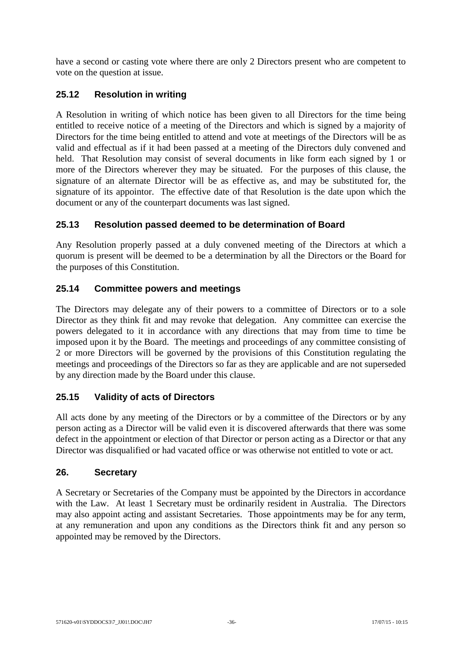have a second or casting vote where there are only 2 Directors present who are competent to vote on the question at issue.

# **25.12 Resolution in writing**

A Resolution in writing of which notice has been given to all Directors for the time being entitled to receive notice of a meeting of the Directors and which is signed by a majority of Directors for the time being entitled to attend and vote at meetings of the Directors will be as valid and effectual as if it had been passed at a meeting of the Directors duly convened and held. That Resolution may consist of several documents in like form each signed by 1 or more of the Directors wherever they may be situated. For the purposes of this clause, the signature of an alternate Director will be as effective as, and may be substituted for, the signature of its appointor. The effective date of that Resolution is the date upon which the document or any of the counterpart documents was last signed.

# **25.13 Resolution passed deemed to be determination of Board**

Any Resolution properly passed at a duly convened meeting of the Directors at which a quorum is present will be deemed to be a determination by all the Directors or the Board for the purposes of this Constitution.

# **25.14 Committee powers and meetings**

The Directors may delegate any of their powers to a committee of Directors or to a sole Director as they think fit and may revoke that delegation. Any committee can exercise the powers delegated to it in accordance with any directions that may from time to time be imposed upon it by the Board. The meetings and proceedings of any committee consisting of 2 or more Directors will be governed by the provisions of this Constitution regulating the meetings and proceedings of the Directors so far as they are applicable and are not superseded by any direction made by the Board under this clause.

# **25.15 Validity of acts of Directors**

All acts done by any meeting of the Directors or by a committee of the Directors or by any person acting as a Director will be valid even it is discovered afterwards that there was some defect in the appointment or election of that Director or person acting as a Director or that any Director was disqualified or had vacated office or was otherwise not entitled to vote or act.

# **26. Secretary**

A Secretary or Secretaries of the Company must be appointed by the Directors in accordance with the Law. At least 1 Secretary must be ordinarily resident in Australia. The Directors may also appoint acting and assistant Secretaries. Those appointments may be for any term, at any remuneration and upon any conditions as the Directors think fit and any person so appointed may be removed by the Directors.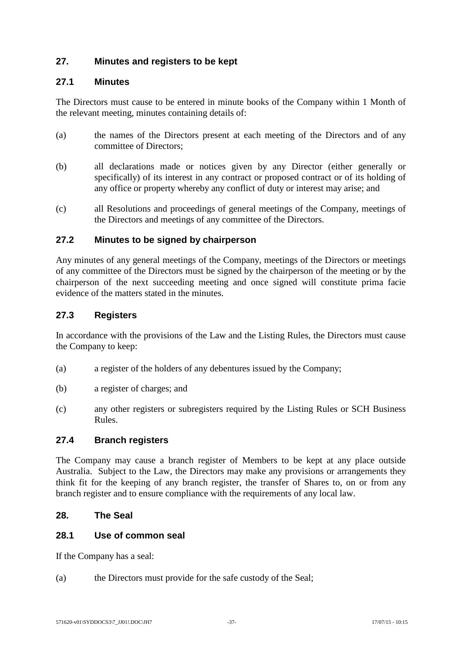# **27. Minutes and registers to be kept**

### **27.1 Minutes**

The Directors must cause to be entered in minute books of the Company within 1 Month of the relevant meeting, minutes containing details of:

- (a) the names of the Directors present at each meeting of the Directors and of any committee of Directors;
- (b) all declarations made or notices given by any Director (either generally or specifically) of its interest in any contract or proposed contract or of its holding of any office or property whereby any conflict of duty or interest may arise; and
- (c) all Resolutions and proceedings of general meetings of the Company, meetings of the Directors and meetings of any committee of the Directors.

#### **27.2 Minutes to be signed by chairperson**

Any minutes of any general meetings of the Company, meetings of the Directors or meetings of any committee of the Directors must be signed by the chairperson of the meeting or by the chairperson of the next succeeding meeting and once signed will constitute prima facie evidence of the matters stated in the minutes.

#### **27.3 Registers**

In accordance with the provisions of the Law and the Listing Rules, the Directors must cause the Company to keep:

- (a) a register of the holders of any debentures issued by the Company;
- (b) a register of charges; and
- (c) any other registers or subregisters required by the Listing Rules or SCH Business Rules.

#### **27.4 Branch registers**

The Company may cause a branch register of Members to be kept at any place outside Australia. Subject to the Law, the Directors may make any provisions or arrangements they think fit for the keeping of any branch register, the transfer of Shares to, on or from any branch register and to ensure compliance with the requirements of any local law.

#### **28. The Seal**

#### **28.1 Use of common seal**

If the Company has a seal:

(a) the Directors must provide for the safe custody of the Seal;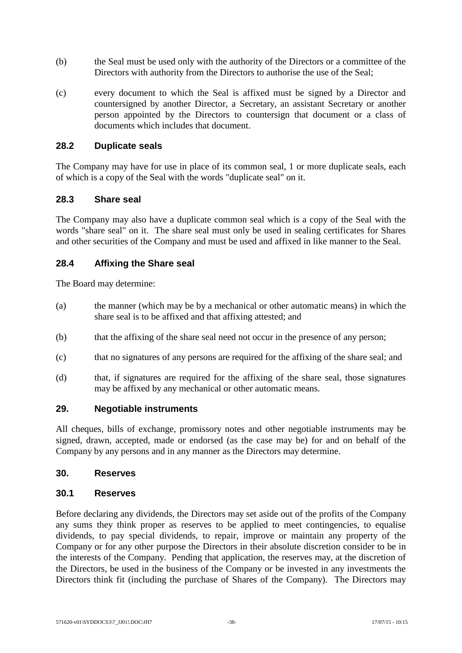- (b) the Seal must be used only with the authority of the Directors or a committee of the Directors with authority from the Directors to authorise the use of the Seal;
- (c) every document to which the Seal is affixed must be signed by a Director and countersigned by another Director, a Secretary, an assistant Secretary or another person appointed by the Directors to countersign that document or a class of documents which includes that document.

#### **28.2 Duplicate seals**

The Company may have for use in place of its common seal, 1 or more duplicate seals, each of which is a copy of the Seal with the words "duplicate seal" on it.

#### **28.3 Share seal**

The Company may also have a duplicate common seal which is a copy of the Seal with the words "share seal" on it. The share seal must only be used in sealing certificates for Shares and other securities of the Company and must be used and affixed in like manner to the Seal.

# **28.4 Affixing the Share seal**

The Board may determine:

- (a) the manner (which may be by a mechanical or other automatic means) in which the share seal is to be affixed and that affixing attested; and
- (b) that the affixing of the share seal need not occur in the presence of any person;
- (c) that no signatures of any persons are required for the affixing of the share seal; and
- (d) that, if signatures are required for the affixing of the share seal, those signatures may be affixed by any mechanical or other automatic means.

#### **29. Negotiable instruments**

All cheques, bills of exchange, promissory notes and other negotiable instruments may be signed, drawn, accepted, made or endorsed (as the case may be) for and on behalf of the Company by any persons and in any manner as the Directors may determine.

#### **30. Reserves**

#### **30.1 Reserves**

Before declaring any dividends, the Directors may set aside out of the profits of the Company any sums they think proper as reserves to be applied to meet contingencies, to equalise dividends, to pay special dividends, to repair, improve or maintain any property of the Company or for any other purpose the Directors in their absolute discretion consider to be in the interests of the Company. Pending that application, the reserves may, at the discretion of the Directors, be used in the business of the Company or be invested in any investments the Directors think fit (including the purchase of Shares of the Company). The Directors may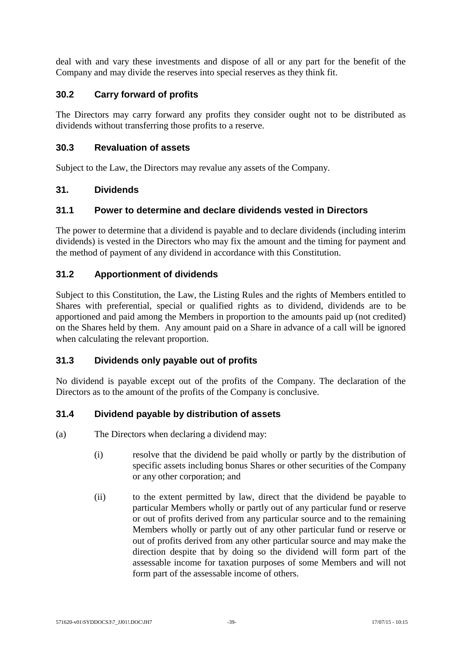deal with and vary these investments and dispose of all or any part for the benefit of the Company and may divide the reserves into special reserves as they think fit.

# **30.2 Carry forward of profits**

The Directors may carry forward any profits they consider ought not to be distributed as dividends without transferring those profits to a reserve.

# **30.3 Revaluation of assets**

Subject to the Law, the Directors may revalue any assets of the Company.

#### **31. Dividends**

#### **31.1 Power to determine and declare dividends vested in Directors**

The power to determine that a dividend is payable and to declare dividends (including interim dividends) is vested in the Directors who may fix the amount and the timing for payment and the method of payment of any dividend in accordance with this Constitution.

# **31.2 Apportionment of dividends**

Subject to this Constitution, the Law, the Listing Rules and the rights of Members entitled to Shares with preferential, special or qualified rights as to dividend, dividends are to be apportioned and paid among the Members in proportion to the amounts paid up (not credited) on the Shares held by them. Any amount paid on a Share in advance of a call will be ignored when calculating the relevant proportion.

# **31.3 Dividends only payable out of profits**

No dividend is payable except out of the profits of the Company. The declaration of the Directors as to the amount of the profits of the Company is conclusive.

# **31.4 Dividend payable by distribution of assets**

(a) The Directors when declaring a dividend may:

- (i) resolve that the dividend be paid wholly or partly by the distribution of specific assets including bonus Shares or other securities of the Company or any other corporation; and
- (ii) to the extent permitted by law, direct that the dividend be payable to particular Members wholly or partly out of any particular fund or reserve or out of profits derived from any particular source and to the remaining Members wholly or partly out of any other particular fund or reserve or out of profits derived from any other particular source and may make the direction despite that by doing so the dividend will form part of the assessable income for taxation purposes of some Members and will not form part of the assessable income of others.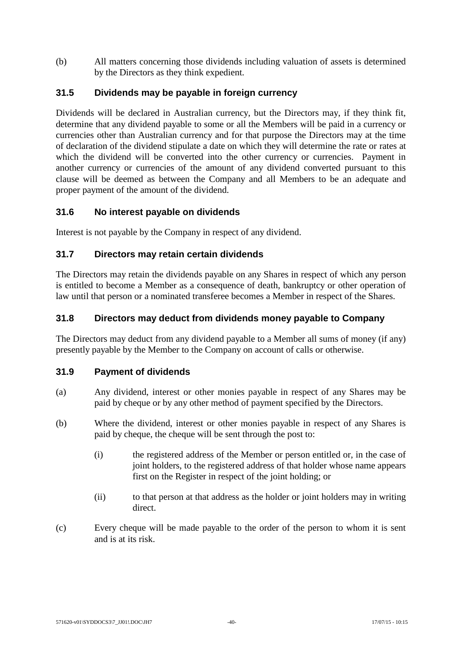(b) All matters concerning those dividends including valuation of assets is determined by the Directors as they think expedient.

# **31.5 Dividends may be payable in foreign currency**

Dividends will be declared in Australian currency, but the Directors may, if they think fit, determine that any dividend payable to some or all the Members will be paid in a currency or currencies other than Australian currency and for that purpose the Directors may at the time of declaration of the dividend stipulate a date on which they will determine the rate or rates at which the dividend will be converted into the other currency or currencies. Payment in another currency or currencies of the amount of any dividend converted pursuant to this clause will be deemed as between the Company and all Members to be an adequate and proper payment of the amount of the dividend.

# **31.6 No interest payable on dividends**

Interest is not payable by the Company in respect of any dividend.

# **31.7 Directors may retain certain dividends**

The Directors may retain the dividends payable on any Shares in respect of which any person is entitled to become a Member as a consequence of death, bankruptcy or other operation of law until that person or a nominated transferee becomes a Member in respect of the Shares.

#### **31.8 Directors may deduct from dividends money payable to Company**

The Directors may deduct from any dividend payable to a Member all sums of money (if any) presently payable by the Member to the Company on account of calls or otherwise.

#### **31.9 Payment of dividends**

- (a) Any dividend, interest or other monies payable in respect of any Shares may be paid by cheque or by any other method of payment specified by the Directors.
- (b) Where the dividend, interest or other monies payable in respect of any Shares is paid by cheque, the cheque will be sent through the post to:
	- (i) the registered address of the Member or person entitled or, in the case of joint holders, to the registered address of that holder whose name appears first on the Register in respect of the joint holding; or
	- (ii) to that person at that address as the holder or joint holders may in writing direct.
- (c) Every cheque will be made payable to the order of the person to whom it is sent and is at its risk.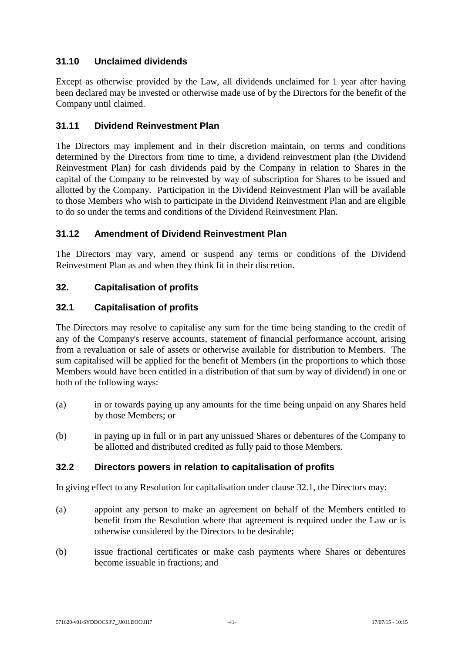# **31.10 Unclaimed dividends**

Except as otherwise provided by the Law, all dividends unclaimed for 1 year after having been declared may be invested or otherwise made use of by the Directors for the benefit of the Company until claimed.

# **31.11 Dividend Reinvestment Plan**

The Directors may implement and in their discretion maintain, on terms and conditions determined by the Directors from time to time, a dividend reinvestment plan (the Dividend Reinvestment Plan) for cash dividends paid by the Company in relation to Shares in the capital of the Company to be reinvested by way of subscription for Shares to be issued and allotted by the Company. Participation in the Dividend Reinvestment Plan will be available to those Members who wish to participate in the Dividend Reinvestment Plan and are eligible to do so under the terms and conditions of the Dividend Reinvestment Plan.

# **31.12 Amendment of Dividend Reinvestment Plan**

The Directors may vary, amend or suspend any terms or conditions of the Dividend Reinvestment Plan as and when they think fit in their discretion.

# **32. Capitalisation of profits**

# <span id="page-47-0"></span>**32.1 Capitalisation of profits**

The Directors may resolve to capitalise any sum for the time being standing to the credit of any of the Company's reserve accounts, statement of financial performance account, arising from a revaluation or sale of assets or otherwise available for distribution to Members. The sum capitalised will be applied for the benefit of Members (in the proportions to which those Members would have been entitled in a distribution of that sum by way of dividend) in one or both of the following ways:

- (a) in or towards paying up any amounts for the time being unpaid on any Shares held by those Members; or
- (b) in paying up in full or in part any unissued Shares or debentures of the Company to be allotted and distributed credited as fully paid to those Members.

# **32.2 Directors powers in relation to capitalisation of profits**

In giving effect to any Resolution for capitalisation under clause [32.1,](#page-47-0) the Directors may:

- (a) appoint any person to make an agreement on behalf of the Members entitled to benefit from the Resolution where that agreement is required under the Law or is otherwise considered by the Directors to be desirable;
- (b) issue fractional certificates or make cash payments where Shares or debentures become issuable in fractions; and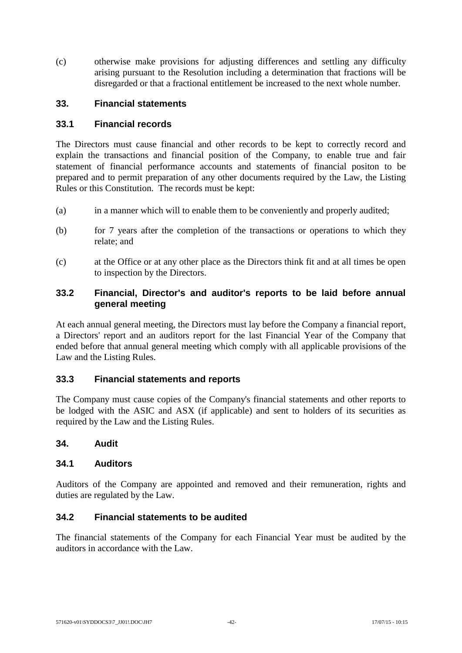(c) otherwise make provisions for adjusting differences and settling any difficulty arising pursuant to the Resolution including a determination that fractions will be disregarded or that a fractional entitlement be increased to the next whole number.

#### **33. Financial statements**

#### **33.1 Financial records**

The Directors must cause financial and other records to be kept to correctly record and explain the transactions and financial position of the Company, to enable true and fair statement of financial performance accounts and statements of financial positon to be prepared and to permit preparation of any other documents required by the Law, the Listing Rules or this Constitution. The records must be kept:

- (a) in a manner which will to enable them to be conveniently and properly audited;
- (b) for 7 years after the completion of the transactions or operations to which they relate; and
- (c) at the Office or at any other place as the Directors think fit and at all times be open to inspection by the Directors.

# **33.2 Financial, Director's and auditor's reports to be laid before annual general meeting**

At each annual general meeting, the Directors must lay before the Company a financial report, a Directors' report and an auditors report for the last Financial Year of the Company that ended before that annual general meeting which comply with all applicable provisions of the Law and the Listing Rules.

# **33.3 Financial statements and reports**

The Company must cause copies of the Company's financial statements and other reports to be lodged with the ASIC and ASX (if applicable) and sent to holders of its securities as required by the Law and the Listing Rules.

#### **34. Audit**

#### **34.1 Auditors**

Auditors of the Company are appointed and removed and their remuneration, rights and duties are regulated by the Law.

#### **34.2 Financial statements to be audited**

The financial statements of the Company for each Financial Year must be audited by the auditors in accordance with the Law.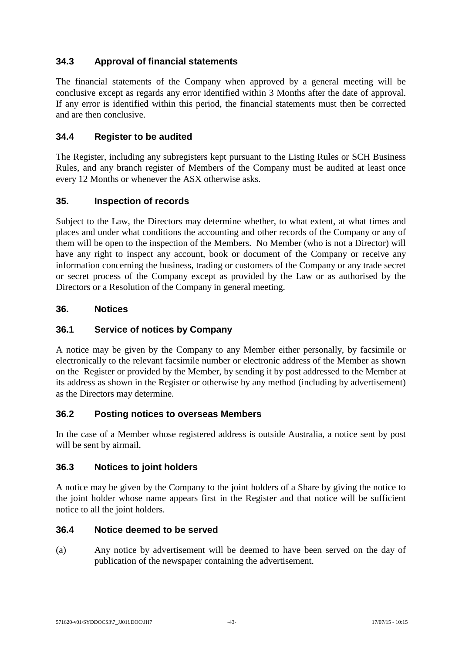# **34.3 Approval of financial statements**

The financial statements of the Company when approved by a general meeting will be conclusive except as regards any error identified within 3 Months after the date of approval. If any error is identified within this period, the financial statements must then be corrected and are then conclusive.

# **34.4 Register to be audited**

The Register, including any subregisters kept pursuant to the Listing Rules or SCH Business Rules, and any branch register of Members of the Company must be audited at least once every 12 Months or whenever the ASX otherwise asks.

# **35. Inspection of records**

Subject to the Law, the Directors may determine whether, to what extent, at what times and places and under what conditions the accounting and other records of the Company or any of them will be open to the inspection of the Members. No Member (who is not a Director) will have any right to inspect any account, book or document of the Company or receive any information concerning the business, trading or customers of the Company or any trade secret or secret process of the Company except as provided by the Law or as authorised by the Directors or a Resolution of the Company in general meeting.

# **36. Notices**

# **36.1 Service of notices by Company**

A notice may be given by the Company to any Member either personally, by facsimile or electronically to the relevant facsimile number or electronic address of the Member as shown on the Register or provided by the Member, by sending it by post addressed to the Member at its address as shown in the Register or otherwise by any method (including by advertisement) as the Directors may determine.

# **36.2 Posting notices to overseas Members**

In the case of a Member whose registered address is outside Australia, a notice sent by post will be sent by airmail.

# **36.3 Notices to joint holders**

A notice may be given by the Company to the joint holders of a Share by giving the notice to the joint holder whose name appears first in the Register and that notice will be sufficient notice to all the joint holders.

# **36.4 Notice deemed to be served**

(a) Any notice by advertisement will be deemed to have been served on the day of publication of the newspaper containing the advertisement.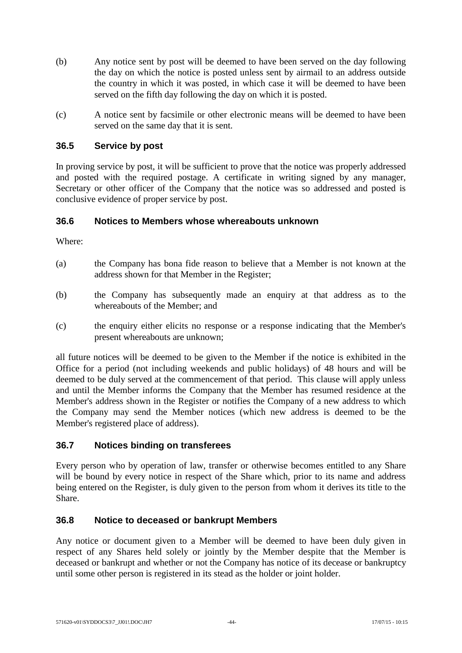- (b) Any notice sent by post will be deemed to have been served on the day following the day on which the notice is posted unless sent by airmail to an address outside the country in which it was posted, in which case it will be deemed to have been served on the fifth day following the day on which it is posted.
- (c) A notice sent by facsimile or other electronic means will be deemed to have been served on the same day that it is sent.

# **36.5 Service by post**

In proving service by post, it will be sufficient to prove that the notice was properly addressed and posted with the required postage. A certificate in writing signed by any manager, Secretary or other officer of the Company that the notice was so addressed and posted is conclusive evidence of proper service by post.

#### **36.6 Notices to Members whose whereabouts unknown**

Where:

- (a) the Company has bona fide reason to believe that a Member is not known at the address shown for that Member in the Register;
- (b) the Company has subsequently made an enquiry at that address as to the whereabouts of the Member; and
- (c) the enquiry either elicits no response or a response indicating that the Member's present whereabouts are unknown;

all future notices will be deemed to be given to the Member if the notice is exhibited in the Office for a period (not including weekends and public holidays) of 48 hours and will be deemed to be duly served at the commencement of that period. This clause will apply unless and until the Member informs the Company that the Member has resumed residence at the Member's address shown in the Register or notifies the Company of a new address to which the Company may send the Member notices (which new address is deemed to be the Member's registered place of address).

# **36.7 Notices binding on transferees**

Every person who by operation of law, transfer or otherwise becomes entitled to any Share will be bound by every notice in respect of the Share which, prior to its name and address being entered on the Register, is duly given to the person from whom it derives its title to the Share.

#### **36.8 Notice to deceased or bankrupt Members**

Any notice or document given to a Member will be deemed to have been duly given in respect of any Shares held solely or jointly by the Member despite that the Member is deceased or bankrupt and whether or not the Company has notice of its decease or bankruptcy until some other person is registered in its stead as the holder or joint holder.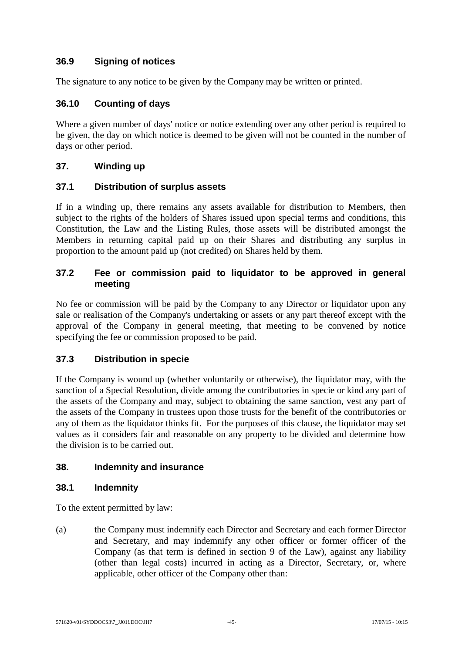# **36.9 Signing of notices**

The signature to any notice to be given by the Company may be written or printed.

# **36.10 Counting of days**

Where a given number of days' notice or notice extending over any other period is required to be given, the day on which notice is deemed to be given will not be counted in the number of days or other period.

# **37. Winding up**

# **37.1 Distribution of surplus assets**

If in a winding up, there remains any assets available for distribution to Members, then subject to the rights of the holders of Shares issued upon special terms and conditions, this Constitution, the Law and the Listing Rules, those assets will be distributed amongst the Members in returning capital paid up on their Shares and distributing any surplus in proportion to the amount paid up (not credited) on Shares held by them.

# **37.2 Fee or commission paid to liquidator to be approved in general meeting**

No fee or commission will be paid by the Company to any Director or liquidator upon any sale or realisation of the Company's undertaking or assets or any part thereof except with the approval of the Company in general meeting, that meeting to be convened by notice specifying the fee or commission proposed to be paid.

# **37.3 Distribution in specie**

If the Company is wound up (whether voluntarily or otherwise), the liquidator may, with the sanction of a Special Resolution, divide among the contributories in specie or kind any part of the assets of the Company and may, subject to obtaining the same sanction, vest any part of the assets of the Company in trustees upon those trusts for the benefit of the contributories or any of them as the liquidator thinks fit. For the purposes of this clause, the liquidator may set values as it considers fair and reasonable on any property to be divided and determine how the division is to be carried out.

# **38. Indemnity and insurance**

# **38.1 Indemnity**

To the extent permitted by law:

(a) the Company must indemnify each Director and Secretary and each former Director and Secretary, and may indemnify any other officer or former officer of the Company (as that term is defined in section 9 of the Law), against any liability (other than legal costs) incurred in acting as a Director, Secretary, or, where applicable, other officer of the Company other than: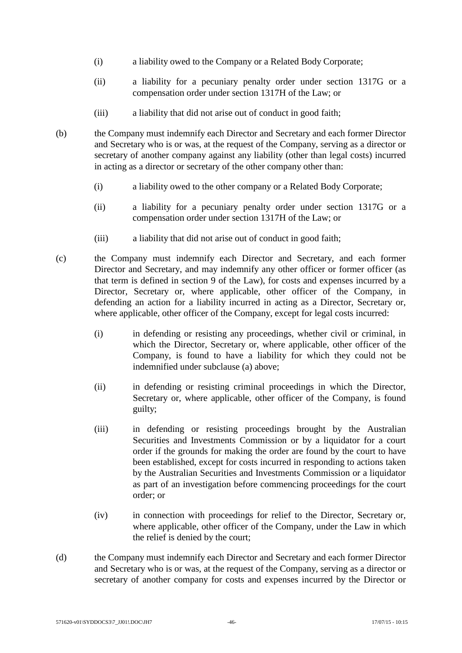- (i) a liability owed to the Company or a Related Body Corporate;
- (ii) a liability for a pecuniary penalty order under section 1317G or a compensation order under section 1317H of the Law; or
- (iii) a liability that did not arise out of conduct in good faith;
- (b) the Company must indemnify each Director and Secretary and each former Director and Secretary who is or was, at the request of the Company, serving as a director or secretary of another company against any liability (other than legal costs) incurred in acting as a director or secretary of the other company other than:
	- (i) a liability owed to the other company or a Related Body Corporate;
	- (ii) a liability for a pecuniary penalty order under section 1317G or a compensation order under section 1317H of the Law; or
	- (iii) a liability that did not arise out of conduct in good faith;
- (c) the Company must indemnify each Director and Secretary, and each former Director and Secretary, and may indemnify any other officer or former officer (as that term is defined in section 9 of the Law), for costs and expenses incurred by a Director, Secretary or, where applicable, other officer of the Company, in defending an action for a liability incurred in acting as a Director, Secretary or, where applicable, other officer of the Company, except for legal costs incurred:
	- (i) in defending or resisting any proceedings, whether civil or criminal, in which the Director, Secretary or, where applicable, other officer of the Company, is found to have a liability for which they could not be indemnified under subclause (a) above;
	- (ii) in defending or resisting criminal proceedings in which the Director, Secretary or, where applicable, other officer of the Company, is found guilty;
	- (iii) in defending or resisting proceedings brought by the Australian Securities and Investments Commission or by a liquidator for a court order if the grounds for making the order are found by the court to have been established, except for costs incurred in responding to actions taken by the Australian Securities and Investments Commission or a liquidator as part of an investigation before commencing proceedings for the court order; or
	- (iv) in connection with proceedings for relief to the Director, Secretary or, where applicable, other officer of the Company, under the Law in which the relief is denied by the court;
- (d) the Company must indemnify each Director and Secretary and each former Director and Secretary who is or was, at the request of the Company, serving as a director or secretary of another company for costs and expenses incurred by the Director or